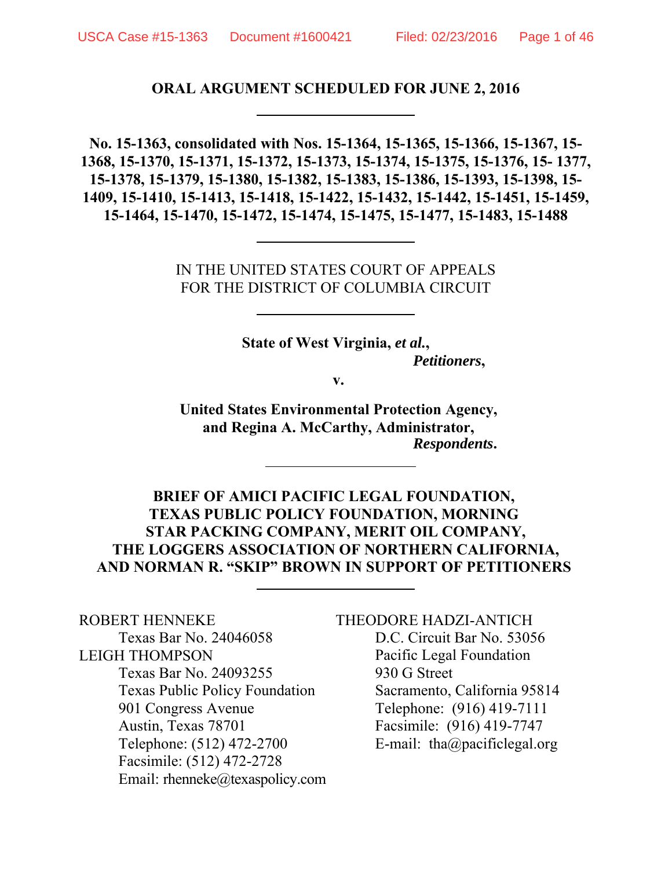## **ORAL ARGUMENT SCHEDULED FOR JUNE 2, 2016**

**No. 15-1363, consolidated with Nos. 15-1364, 15-1365, 15-1366, 15-1367, 15- 1368, 15-1370, 15-1371, 15-1372, 15-1373, 15-1374, 15-1375, 15-1376, 15- 1377, 15-1378, 15-1379, 15-1380, 15-1382, 15-1383, 15-1386, 15-1393, 15-1398, 15- 1409, 15-1410, 15-1413, 15-1418, 15-1422, 15-1432, 15-1442, 15-1451, 15-1459, 15-1464, 15-1470, 15-1472, 15-1474, 15-1475, 15-1477, 15-1483, 15-1488**

> IN THE UNITED STATES COURT OF APPEALS FOR THE DISTRICT OF COLUMBIA CIRCUIT

> > **State of West Virginia,** *et al.***,** *Petitioners***,**

> > > **v.**

**United States Environmental Protection Agency, and Regina A. McCarthy, Administrator,** *Respondents***.**

**BRIEF OF AMICI PACIFIC LEGAL FOUNDATION, TEXAS PUBLIC POLICY FOUNDATION, MORNING STAR PACKING COMPANY, MERIT OIL COMPANY, THE LOGGERS ASSOCIATION OF NORTHERN CALIFORNIA, AND NORMAN R. "SKIP" BROWN IN SUPPORT OF PETITIONERS** 

ROBERT HENNEKE Texas Bar No. 24046058 LEIGH THOMPSON Texas Bar No. 24093255 Texas Public Policy Foundation 901 Congress Avenue Austin, Texas 78701 Telephone: (512) 472-2700 Facsimile: (512) 472-2728 Email: rhenneke@texaspolicy.com

THEODORE HADZI-ANTICH D.C. Circuit Bar No. 53056 Pacific Legal Foundation 930 G Street Sacramento, California 95814 Telephone: (916) 419-7111 Facsimile: (916) 419-7747 E-mail: tha@pacificlegal.org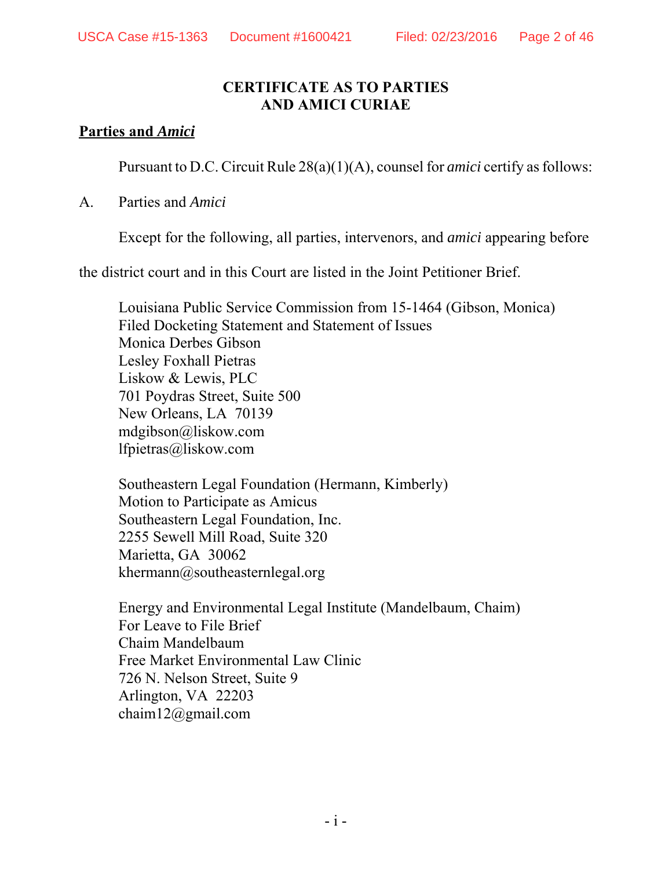### **CERTIFICATE AS TO PARTIES AND AMICI CURIAE**

#### **Parties and** *Amici*

Pursuant to D.C. Circuit Rule 28(a)(1)(A), counsel for *amici* certify as follows:

#### A. Parties and *Amici*

Except for the following, all parties, intervenors, and *amici* appearing before

the district court and in this Court are listed in the Joint Petitioner Brief.

Louisiana Public Service Commission from 15-1464 (Gibson, Monica) Filed Docketing Statement and Statement of Issues Monica Derbes Gibson Lesley Foxhall Pietras Liskow & Lewis, PLC 701 Poydras Street, Suite 500 New Orleans, LA 70139 mdgibson@liskow.com lfpietras@liskow.com

Southeastern Legal Foundation (Hermann, Kimberly) Motion to Participate as Amicus Southeastern Legal Foundation, Inc. 2255 Sewell Mill Road, Suite 320 Marietta, GA 30062 khermann@southeasternlegal.org

Energy and Environmental Legal Institute (Mandelbaum, Chaim) For Leave to File Brief Chaim Mandelbaum Free Market Environmental Law Clinic 726 N. Nelson Street, Suite 9 Arlington, VA 22203 chaim12@gmail.com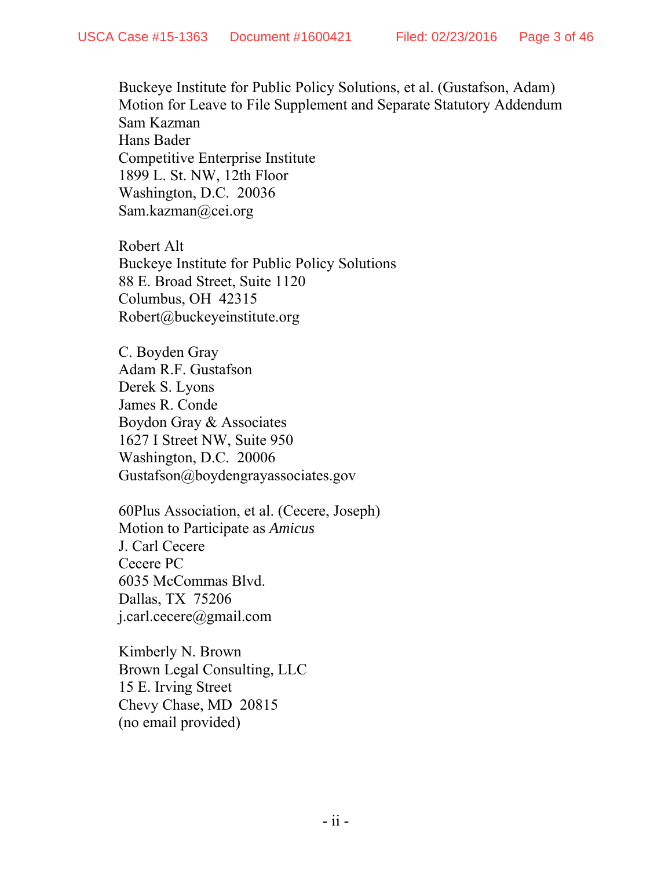Buckeye Institute for Public Policy Solutions, et al. (Gustafson, Adam) Motion for Leave to File Supplement and Separate Statutory Addendum Sam Kazman Hans Bader Competitive Enterprise Institute 1899 L. St. NW, 12th Floor Washington, D.C. 20036 Sam.kazman@cei.org

Robert Alt Buckeye Institute for Public Policy Solutions 88 E. Broad Street, Suite 1120 Columbus, OH 42315 Robert@buckeyeinstitute.org

C. Boyden Gray Adam R.F. Gustafson Derek S. Lyons James R. Conde Boydon Gray & Associates 1627 I Street NW, Suite 950 Washington, D.C. 20006 Gustafson@boydengrayassociates.gov

60Plus Association, et al. (Cecere, Joseph) Motion to Participate as *Amicus* J. Carl Cecere Cecere PC 6035 McCommas Blvd. Dallas, TX 75206 j.carl.cecere@gmail.com

Kimberly N. Brown Brown Legal Consulting, LLC 15 E. Irving Street Chevy Chase, MD 20815 (no email provided)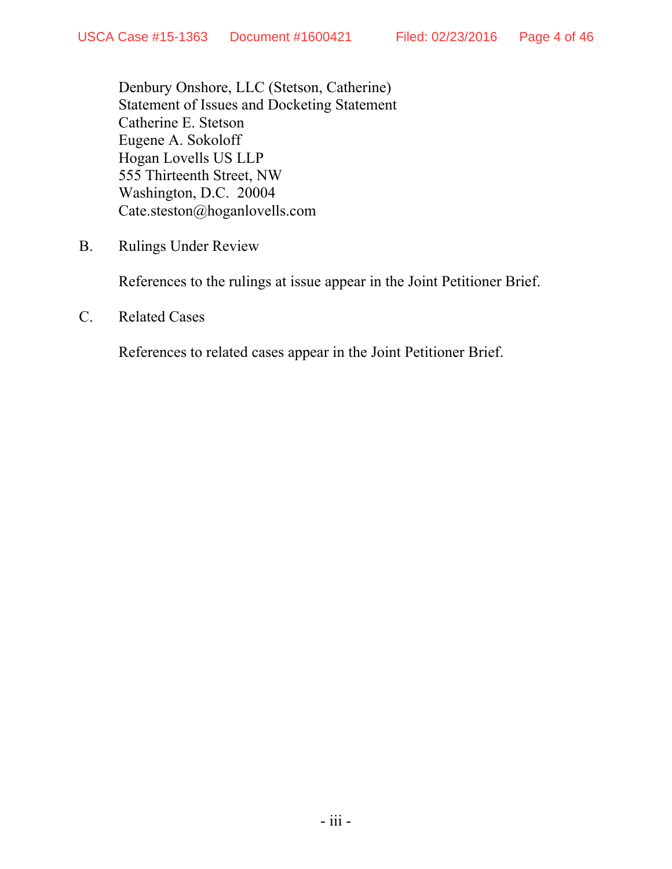Denbury Onshore, LLC (Stetson, Catherine) Statement of Issues and Docketing Statement Catherine E. Stetson Eugene A. Sokoloff Hogan Lovells US LLP 555 Thirteenth Street, NW Washington, D.C. 20004 Cate.steston@hoganlovells.com

B. Rulings Under Review

References to the rulings at issue appear in the Joint Petitioner Brief.

C. Related Cases

References to related cases appear in the Joint Petitioner Brief.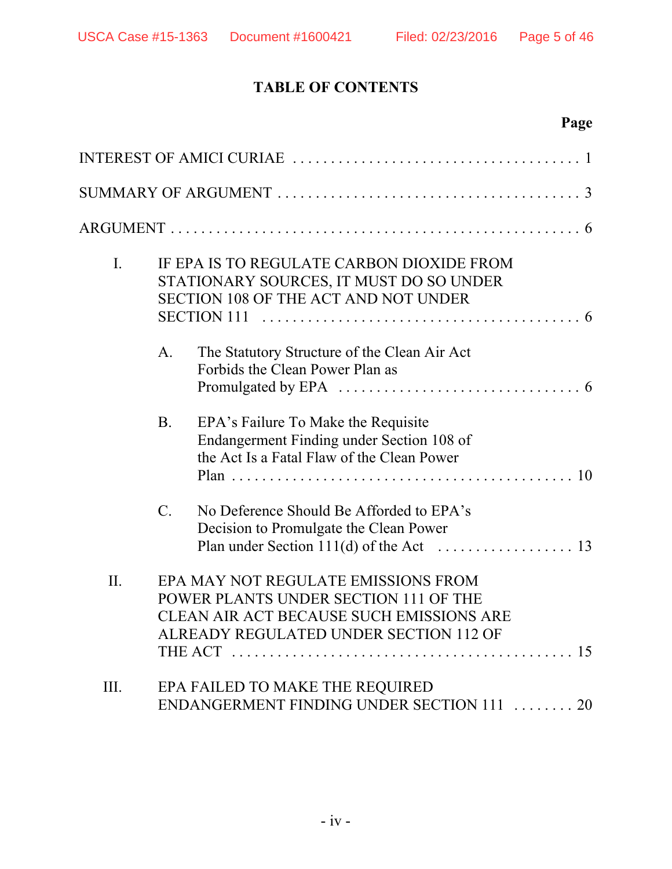## **TABLE OF CONTENTS**

|                |           | Page                                                                                                                                                                                                                                              |
|----------------|-----------|---------------------------------------------------------------------------------------------------------------------------------------------------------------------------------------------------------------------------------------------------|
|                |           |                                                                                                                                                                                                                                                   |
|                |           |                                                                                                                                                                                                                                                   |
|                |           |                                                                                                                                                                                                                                                   |
| $\mathbf{I}$ . |           | IF EPA IS TO REGULATE CARBON DIOXIDE FROM<br>STATIONARY SOURCES, IT MUST DO SO UNDER<br><b>SECTION 108 OF THE ACT AND NOT UNDER</b><br>SECTION 111 $\ldots \ldots \ldots \ldots \ldots \ldots \ldots \ldots \ldots \ldots \ldots \ldots \ldots 6$ |
|                | A.        | The Statutory Structure of the Clean Air Act<br>Forbids the Clean Power Plan as                                                                                                                                                                   |
|                | <b>B.</b> | EPA's Failure To Make the Requisite<br>Endangerment Finding under Section 108 of<br>the Act Is a Fatal Flaw of the Clean Power                                                                                                                    |
|                | $C$ .     | No Deference Should Be Afforded to EPA's<br>Decision to Promulgate the Clean Power                                                                                                                                                                |
| II.            |           | EPA MAY NOT REGULATE EMISSIONS FROM<br>POWER PLANTS UNDER SECTION 111 OF THE<br>CLEAN AIR ACT BECAUSE SUCH EMISSIONS ARE<br>ALREADY REGULATED UNDER SECTION 112 OF                                                                                |
| III.           |           | EPA FAILED TO MAKE THE REQUIRED<br>ENDANGERMENT FINDING UNDER SECTION 111  20                                                                                                                                                                     |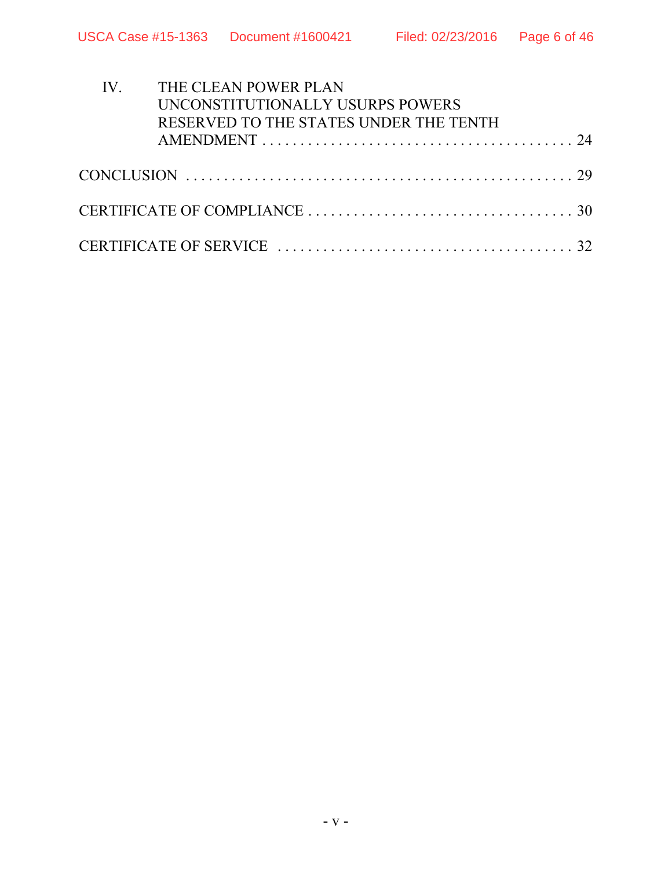| IV. THE CLEAN POWER PLAN                                                                                 |  |
|----------------------------------------------------------------------------------------------------------|--|
| UNCONSTITUTIONALLY USURPS POWERS                                                                         |  |
| RESERVED TO THE STATES UNDER THE TENTH                                                                   |  |
|                                                                                                          |  |
|                                                                                                          |  |
|                                                                                                          |  |
|                                                                                                          |  |
| CERTIFICATE OF COMPLIANCE $\ldots \ldots \ldots \ldots \ldots \ldots \ldots \ldots \ldots \ldots \ldots$ |  |
|                                                                                                          |  |
|                                                                                                          |  |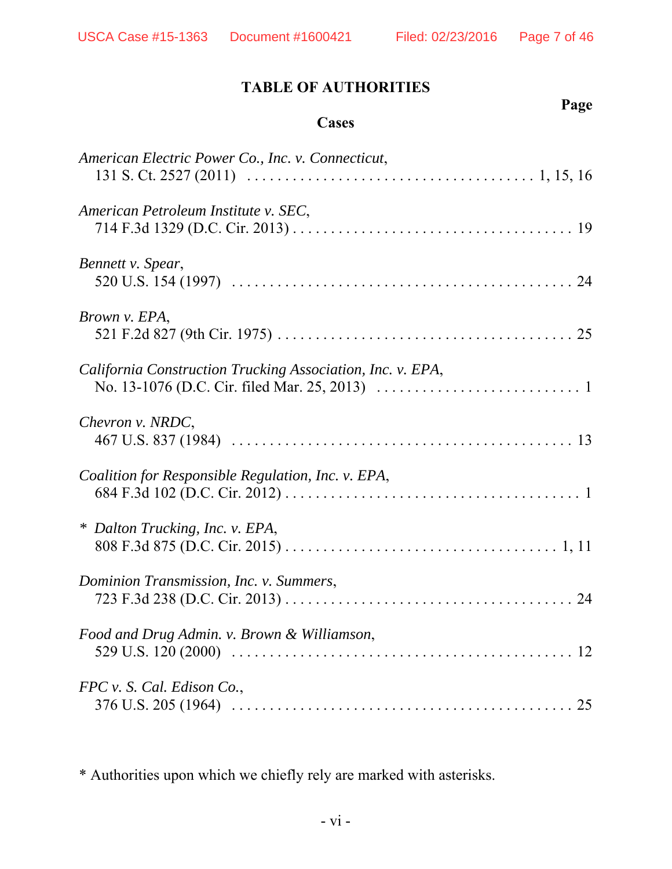**Page**

## **TABLE OF AUTHORITIES**

#### **Cases**

| American Electric Power Co., Inc. v. Connecticut,          |
|------------------------------------------------------------|
| American Petroleum Institute v. SEC,                       |
| Bennett v. Spear,                                          |
| Brown v. EPA,                                              |
| California Construction Trucking Association, Inc. v. EPA, |
| Chevron v. NRDC,                                           |
| Coalition for Responsible Regulation, Inc. v. EPA,         |
| * Dalton Trucking, Inc. v. EPA,                            |
| Dominion Transmission, Inc. v. Summers,                    |
| Food and Drug Admin. v. Brown & Williamson,                |
| FPC v. S. Cal. Edison Co.,                                 |

\* Authorities upon which we chiefly rely are marked with asterisks.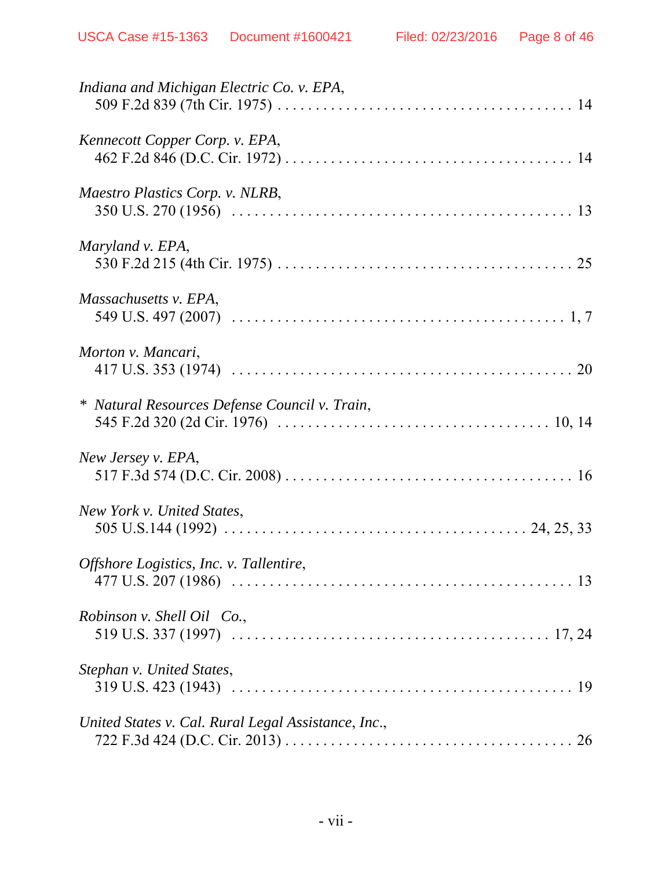| Indiana and Michigan Electric Co. v. EPA,           |
|-----------------------------------------------------|
| Kennecott Copper Corp. v. EPA,                      |
| Maestro Plastics Corp. v. NLRB,                     |
| Maryland v. EPA,                                    |
| Massachusetts v. EPA,                               |
| Morton v. Mancari,                                  |
| * Natural Resources Defense Council v. Train,       |
| New Jersey v. EPA,                                  |
| New York v. United States,                          |
| Offshore Logistics, Inc. v. Tallentire,             |
| Robinson v. Shell Oil Co.,                          |
| Stephan v. United States,                           |
| United States v. Cal. Rural Legal Assistance, Inc., |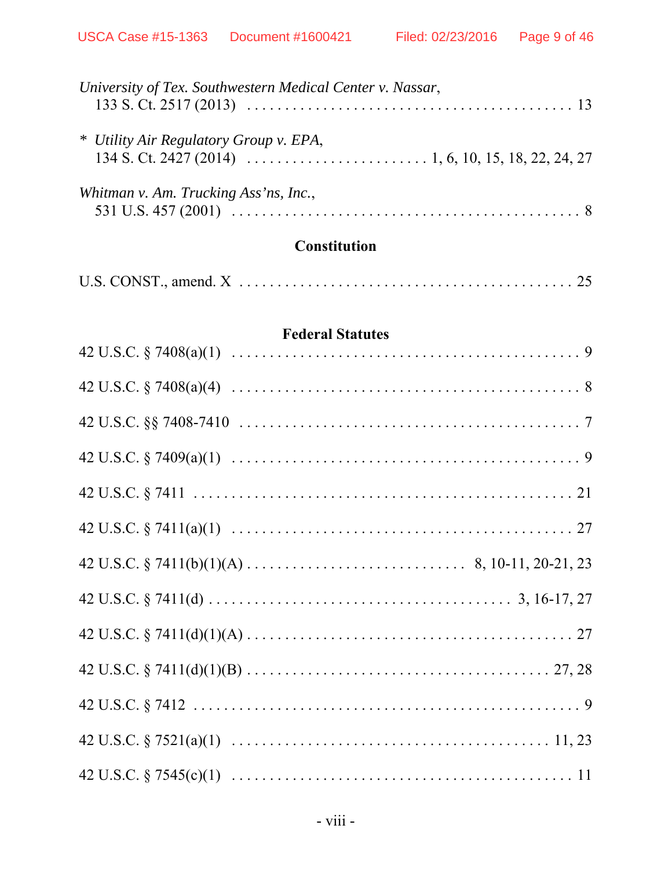| University of Tex. Southwestern Medical Center v. Nassar,                                                                                                                                                                                                                                                                                                                 |
|---------------------------------------------------------------------------------------------------------------------------------------------------------------------------------------------------------------------------------------------------------------------------------------------------------------------------------------------------------------------------|
| * Utility Air Regulatory Group v. EPA,<br>134 S. Ct. 2427 (2014) $\ldots$ $\ldots$ $\ldots$ $\ldots$ $\ldots$ $\ldots$ $\ldots$ $\ldots$ $\ldots$ $\ldots$ $\ldots$ $\ldots$ $\ldots$ $\ldots$ $\ldots$ $\ldots$ $\ldots$ $\ldots$ $\ldots$ $\ldots$ $\ldots$ $\ldots$ $\ldots$ $\ldots$ $\ldots$ $\ldots$ $\ldots$ $\ldots$ $\ldots$ $\ldots$ $\ldots$ $\ldots$ $\ldots$ |
| Whitman v. Am. Trucking Ass'ns, Inc.,                                                                                                                                                                                                                                                                                                                                     |

# **Constitution**

|--|--|--|

#### **Federal Statutes**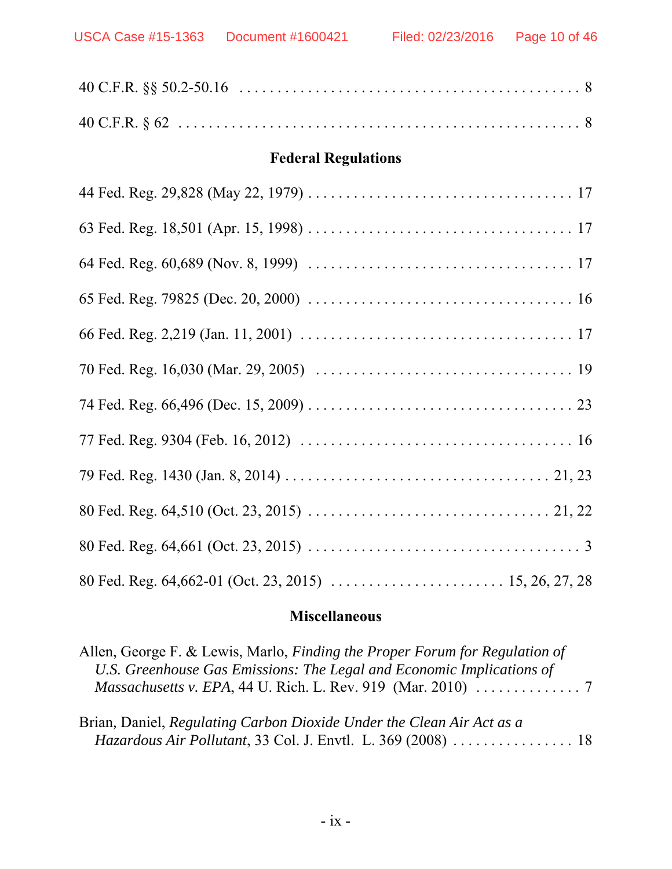USCA Case #15-1363 Document #1600421 Filed: 02/23/2016 Page 10 of 46

| <b>Federal Regulations</b> |
|----------------------------|
|                            |
|                            |
|                            |
|                            |
|                            |
|                            |
|                            |
|                            |
|                            |
|                            |
|                            |
|                            |

## **Miscellaneous**

| Allen, George F. & Lewis, Marlo, Finding the Proper Forum for Regulation of                     |  |
|-------------------------------------------------------------------------------------------------|--|
| U.S. Greenhouse Gas Emissions: The Legal and Economic Implications of                           |  |
| <i>Massachusetts v. EPA</i> , 44 U. Rich. L. Rev. 919 (Mar. 2010) $\ldots \ldots \ldots \ldots$ |  |
|                                                                                                 |  |

| Brian, Daniel, Regulating Carbon Dioxide Under the Clean Air Act as a |  |
|-----------------------------------------------------------------------|--|
| <i>Hazardous Air Pollutant, 33 Col. J. Envtl. L. 369 (2008) </i> 18   |  |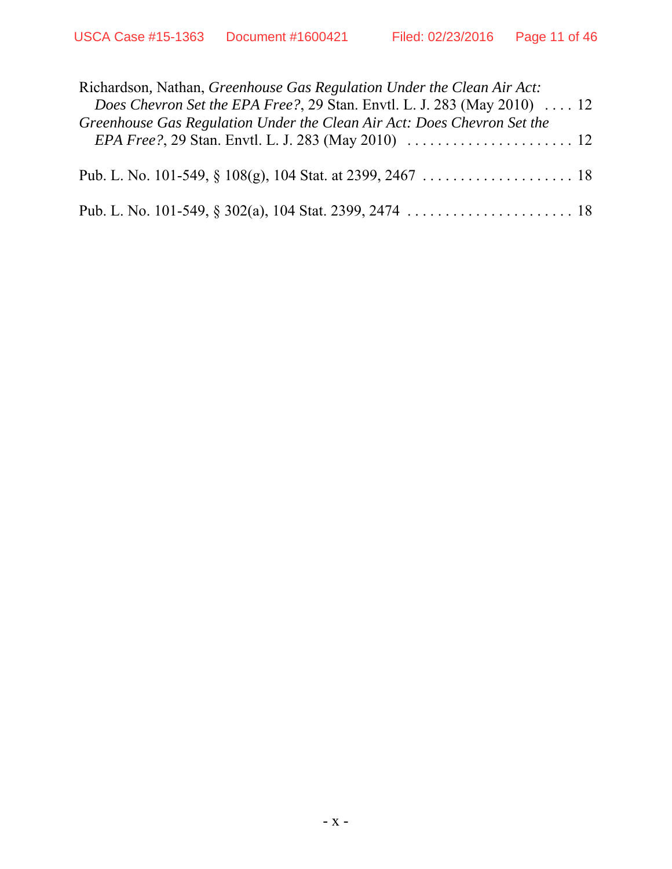| Richardson, Nathan, Greenhouse Gas Regulation Under the Clean Air Act:                   |
|------------------------------------------------------------------------------------------|
| <i>Does Chevron Set the EPA Free?</i> , 29 Stan. Envtl. L. J. 283 (May 2010) $\ldots$ 12 |
| Greenhouse Gas Regulation Under the Clean Air Act: Does Chevron Set the                  |
|                                                                                          |
|                                                                                          |
|                                                                                          |
|                                                                                          |
|                                                                                          |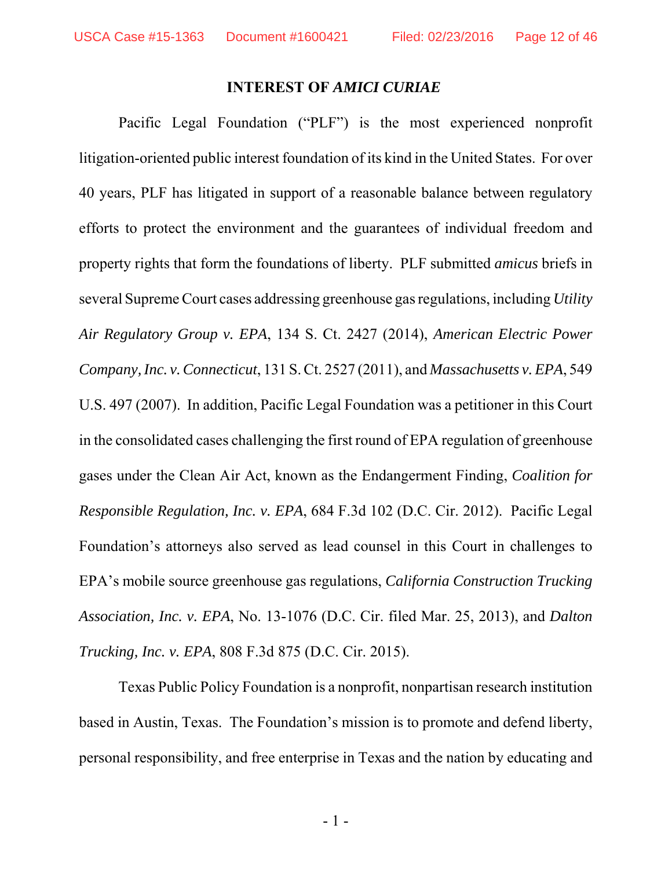#### **INTEREST OF** *AMICI CURIAE*

Pacific Legal Foundation ("PLF") is the most experienced nonprofit litigation-oriented public interest foundation of its kind in the United States. For over 40 years, PLF has litigated in support of a reasonable balance between regulatory efforts to protect the environment and the guarantees of individual freedom and property rights that form the foundations of liberty. PLF submitted *amicus* briefs in several Supreme Court cases addressing greenhouse gas regulations, including *Utility Air Regulatory Group v. EPA*, 134 S. Ct. 2427 (2014), *American Electric Power Company, Inc. v. Connecticut*, 131 S. Ct. 2527 (2011), and *Massachusetts v. EPA*, 549 U.S. 497 (2007). In addition, Pacific Legal Foundation was a petitioner in this Court in the consolidated cases challenging the first round of EPA regulation of greenhouse gases under the Clean Air Act, known as the Endangerment Finding, *Coalition for Responsible Regulation, Inc. v. EPA*, 684 F.3d 102 (D.C. Cir. 2012). Pacific Legal Foundation's attorneys also served as lead counsel in this Court in challenges to EPA's mobile source greenhouse gas regulations, *California Construction Trucking Association, Inc. v. EPA*, No. 13-1076 (D.C. Cir. filed Mar. 25, 2013), and *Dalton Trucking, Inc. v. EPA*, 808 F.3d 875 (D.C. Cir. 2015).

Texas Public Policy Foundation is a nonprofit, nonpartisan research institution based in Austin, Texas. The Foundation's mission is to promote and defend liberty, personal responsibility, and free enterprise in Texas and the nation by educating and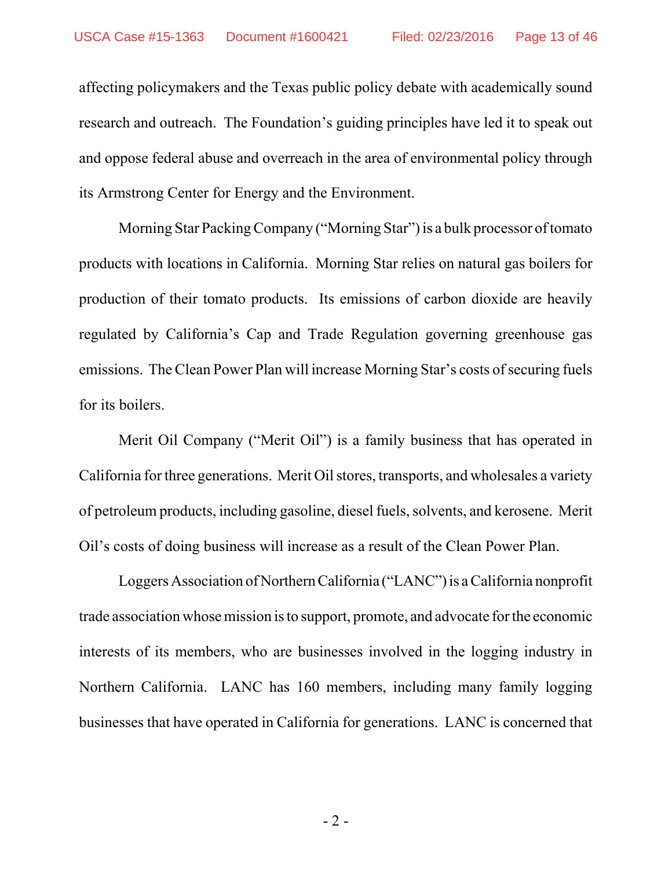affecting policymakers and the Texas public policy debate with academically sound research and outreach. The Foundation's guiding principles have led it to speak out and oppose federal abuse and overreach in the area of environmental policy through its Armstrong Center for Energy and the Environment.

Morning Star Packing Company ("Morning Star") is a bulk processor of tomato products with locations in California. Morning Star relies on natural gas boilers for production of their tomato products. Its emissions of carbon dioxide are heavily regulated by California's Cap and Trade Regulation governing greenhouse gas emissions. The Clean Power Plan will increase Morning Star's costs of securing fuels for its boilers.

Merit Oil Company ("Merit Oil") is a family business that has operated in California for three generations. Merit Oil stores, transports, and wholesales a variety of petroleum products, including gasoline, diesel fuels, solvents, and kerosene. Merit Oil's costs of doing business will increase as a result of the Clean Power Plan.

Loggers Association of Northern California ("LANC") is a California nonprofit trade association whose mission is to support, promote, and advocate for the economic interests of its members, who are businesses involved in the logging industry in Northern California. LANC has 160 members, including many family logging businesses that have operated in California for generations. LANC is concerned that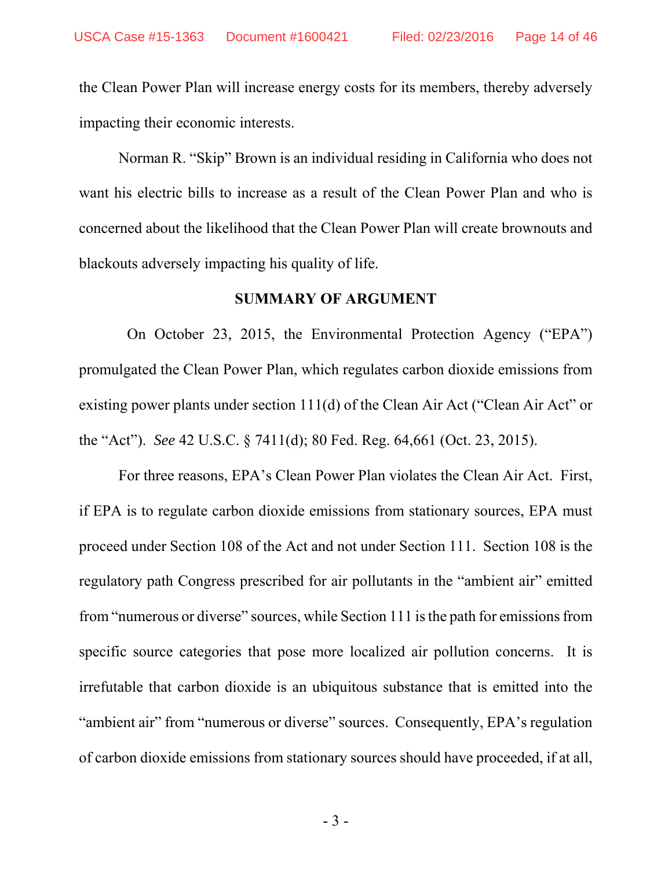the Clean Power Plan will increase energy costs for its members, thereby adversely impacting their economic interests.

Norman R. "Skip" Brown is an individual residing in California who does not want his electric bills to increase as a result of the Clean Power Plan and who is concerned about the likelihood that the Clean Power Plan will create brownouts and blackouts adversely impacting his quality of life.

#### **SUMMARY OF ARGUMENT**

 On October 23, 2015, the Environmental Protection Agency ("EPA") promulgated the Clean Power Plan, which regulates carbon dioxide emissions from existing power plants under section 111(d) of the Clean Air Act ("Clean Air Act" or the "Act"). *See* 42 U.S.C. § 7411(d); 80 Fed. Reg. 64,661 (Oct. 23, 2015).

For three reasons, EPA's Clean Power Plan violates the Clean Air Act. First, if EPA is to regulate carbon dioxide emissions from stationary sources, EPA must proceed under Section 108 of the Act and not under Section 111. Section 108 is the regulatory path Congress prescribed for air pollutants in the "ambient air" emitted from "numerous or diverse" sources, while Section 111 is the path for emissions from specific source categories that pose more localized air pollution concerns. It is irrefutable that carbon dioxide is an ubiquitous substance that is emitted into the "ambient air" from "numerous or diverse" sources. Consequently, EPA's regulation of carbon dioxide emissions from stationary sources should have proceeded, if at all,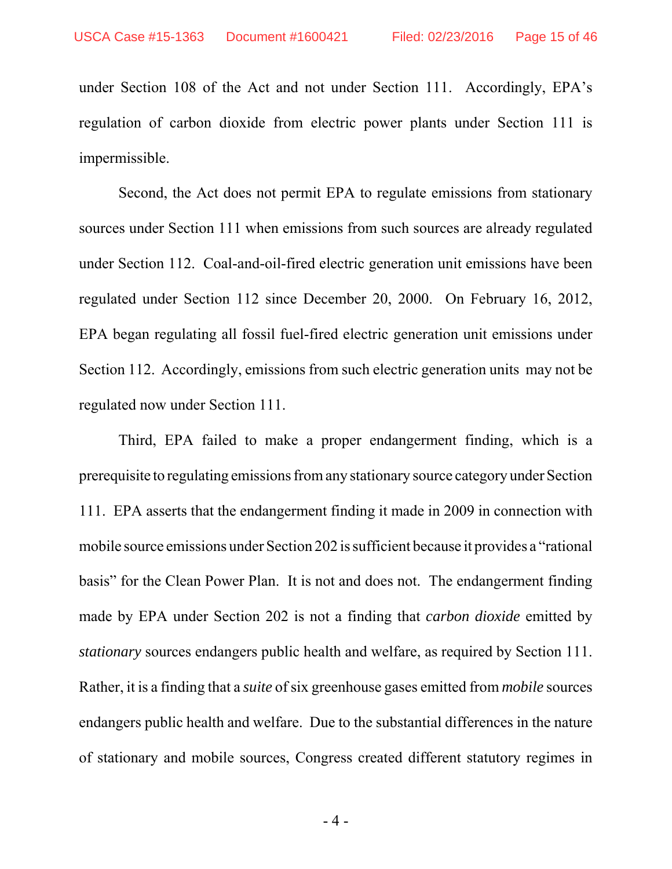under Section 108 of the Act and not under Section 111. Accordingly, EPA's regulation of carbon dioxide from electric power plants under Section 111 is impermissible.

Second, the Act does not permit EPA to regulate emissions from stationary sources under Section 111 when emissions from such sources are already regulated under Section 112. Coal-and-oil-fired electric generation unit emissions have been regulated under Section 112 since December 20, 2000. On February 16, 2012, EPA began regulating all fossil fuel-fired electric generation unit emissions under Section 112. Accordingly, emissions from such electric generation units may not be regulated now under Section 111.

Third, EPA failed to make a proper endangerment finding, which is a prerequisite to regulating emissions from any stationary source category under Section 111. EPA asserts that the endangerment finding it made in 2009 in connection with mobile source emissions under Section 202 is sufficient because it provides a "rational basis" for the Clean Power Plan. It is not and does not. The endangerment finding made by EPA under Section 202 is not a finding that *carbon dioxide* emitted by *stationary* sources endangers public health and welfare, as required by Section 111. Rather, it is a finding that a *suite* of six greenhouse gases emitted from *mobile* sources endangers public health and welfare. Due to the substantial differences in the nature of stationary and mobile sources, Congress created different statutory regimes in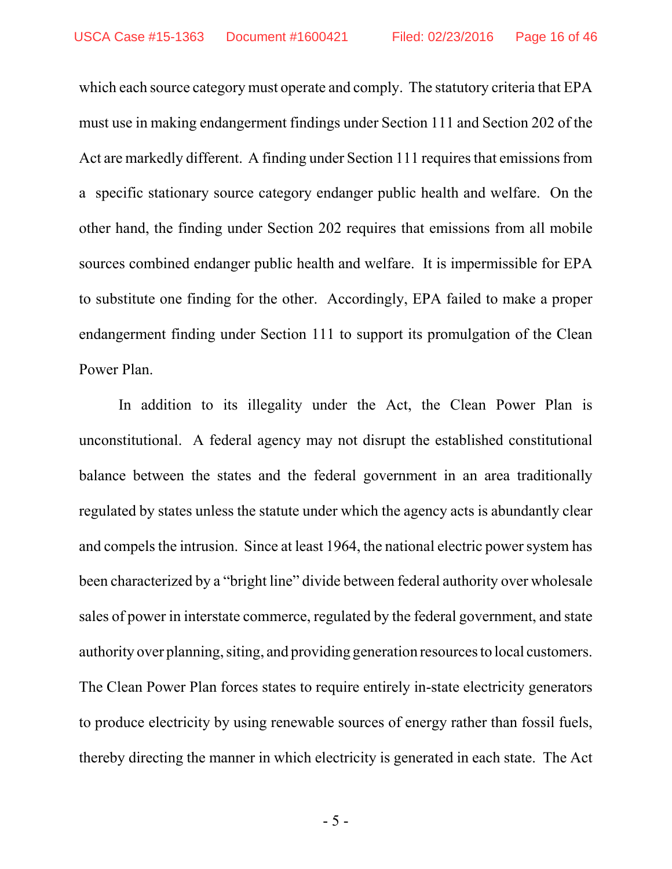which each source category must operate and comply. The statutory criteria that EPA must use in making endangerment findings under Section 111 and Section 202 of the Act are markedly different. A finding under Section 111 requires that emissions from a specific stationary source category endanger public health and welfare. On the other hand, the finding under Section 202 requires that emissions from all mobile sources combined endanger public health and welfare. It is impermissible for EPA to substitute one finding for the other. Accordingly, EPA failed to make a proper endangerment finding under Section 111 to support its promulgation of the Clean Power Plan.

In addition to its illegality under the Act, the Clean Power Plan is unconstitutional. A federal agency may not disrupt the established constitutional balance between the states and the federal government in an area traditionally regulated by states unless the statute under which the agency acts is abundantly clear and compels the intrusion. Since at least 1964, the national electric power system has been characterized by a "bright line" divide between federal authority over wholesale sales of power in interstate commerce, regulated by the federal government, and state authority over planning, siting, and providing generation resources to local customers. The Clean Power Plan forces states to require entirely in-state electricity generators to produce electricity by using renewable sources of energy rather than fossil fuels, thereby directing the manner in which electricity is generated in each state. The Act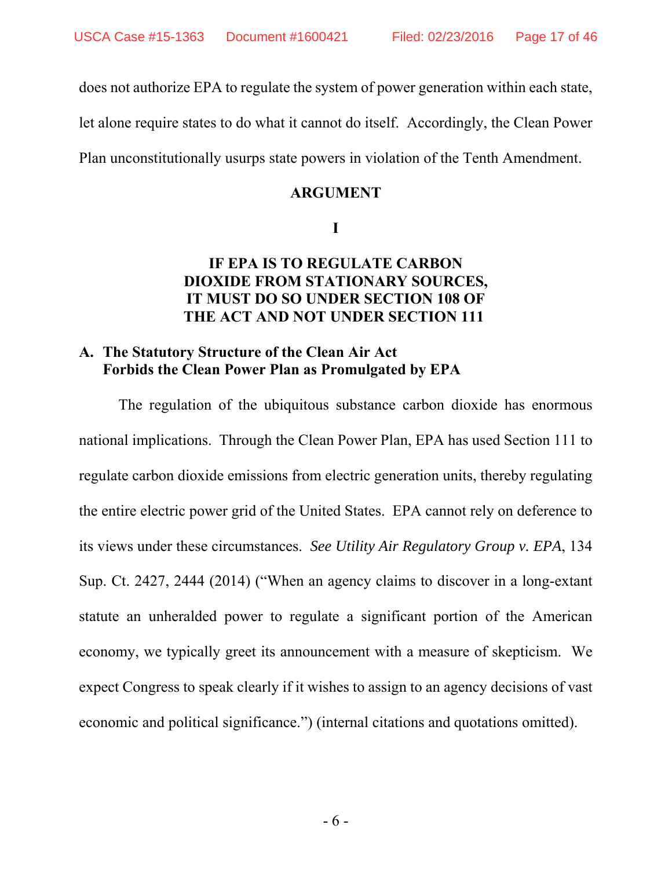does not authorize EPA to regulate the system of power generation within each state,

let alone require states to do what it cannot do itself. Accordingly, the Clean Power

Plan unconstitutionally usurps state powers in violation of the Tenth Amendment.

#### **ARGUMENT**

**I**

#### **IF EPA IS TO REGULATE CARBON DIOXIDE FROM STATIONARY SOURCES, IT MUST DO SO UNDER SECTION 108 OF THE ACT AND NOT UNDER SECTION 111**

#### **A. The Statutory Structure of the Clean Air Act Forbids the Clean Power Plan as Promulgated by EPA**

The regulation of the ubiquitous substance carbon dioxide has enormous national implications. Through the Clean Power Plan, EPA has used Section 111 to regulate carbon dioxide emissions from electric generation units, thereby regulating the entire electric power grid of the United States. EPA cannot rely on deference to its views under these circumstances. *See Utility Air Regulatory Group v. EPA*, 134 Sup. Ct. 2427, 2444 (2014) ("When an agency claims to discover in a long-extant statute an unheralded power to regulate a significant portion of the American economy, we typically greet its announcement with a measure of skepticism. We expect Congress to speak clearly if it wishes to assign to an agency decisions of vast economic and political significance.") (internal citations and quotations omitted).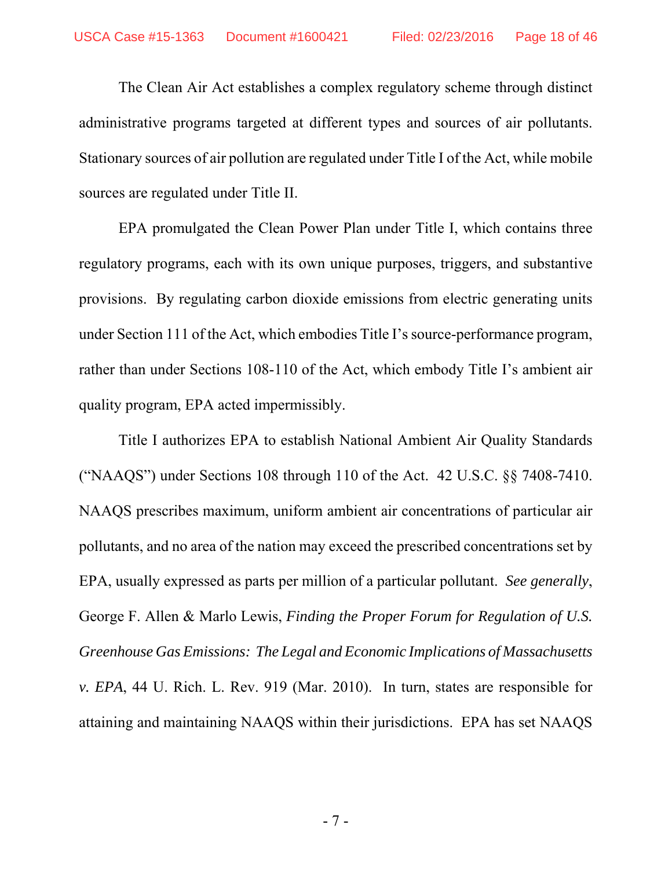The Clean Air Act establishes a complex regulatory scheme through distinct administrative programs targeted at different types and sources of air pollutants. Stationary sources of air pollution are regulated under Title I of the Act, while mobile sources are regulated under Title II.

EPA promulgated the Clean Power Plan under Title I, which contains three regulatory programs, each with its own unique purposes, triggers, and substantive provisions. By regulating carbon dioxide emissions from electric generating units under Section 111 of the Act, which embodies Title I's source-performance program, rather than under Sections 108-110 of the Act, which embody Title I's ambient air quality program, EPA acted impermissibly.

Title I authorizes EPA to establish National Ambient Air Quality Standards ("NAAQS") under Sections 108 through 110 of the Act. 42 U.S.C. §§ 7408-7410. NAAQS prescribes maximum, uniform ambient air concentrations of particular air pollutants, and no area of the nation may exceed the prescribed concentrations set by EPA, usually expressed as parts per million of a particular pollutant. *See generally*, George F. Allen & Marlo Lewis, *Finding the Proper Forum for Regulation of U.S. Greenhouse Gas Emissions: The Legal and Economic Implications of Massachusetts v. EPA*, 44 U. Rich. L. Rev. 919 (Mar. 2010). In turn, states are responsible for attaining and maintaining NAAQS within their jurisdictions. EPA has set NAAQS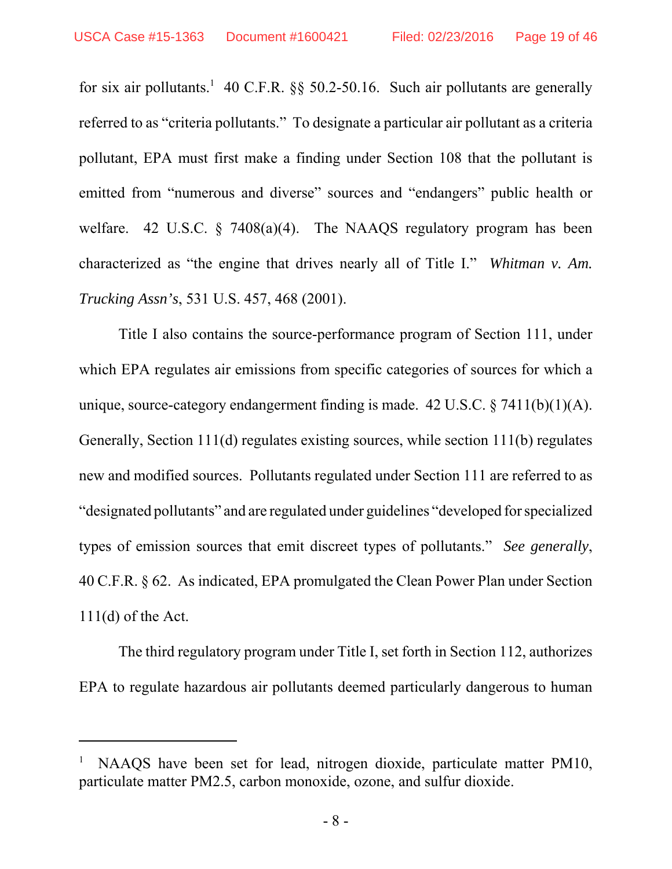for six air pollutants.<sup>1</sup> 40 C.F.R. §§ 50.2-50.16. Such air pollutants are generally referred to as "criteria pollutants." To designate a particular air pollutant as a criteria pollutant, EPA must first make a finding under Section 108 that the pollutant is emitted from "numerous and diverse" sources and "endangers" public health or welfare. 42 U.S.C. § 7408(a)(4). The NAAQS regulatory program has been characterized as "the engine that drives nearly all of Title I." *Whitman v. Am. Trucking Assn's*, 531 U.S. 457, 468 (2001).

Title I also contains the source-performance program of Section 111, under which EPA regulates air emissions from specific categories of sources for which a unique, source-category endangerment finding is made.  $42 \text{ U.S.C.} \$   $7411(b)(1)(A)$ . Generally, Section 111(d) regulates existing sources, while section 111(b) regulates new and modified sources. Pollutants regulated under Section 111 are referred to as "designated pollutants" and are regulated under guidelines "developed for specialized types of emission sources that emit discreet types of pollutants." *See generally*, 40 C.F.R. § 62. As indicated, EPA promulgated the Clean Power Plan under Section  $111(d)$  of the Act.

The third regulatory program under Title I, set forth in Section 112, authorizes EPA to regulate hazardous air pollutants deemed particularly dangerous to human

<sup>1</sup> NAAQS have been set for lead, nitrogen dioxide, particulate matter PM10, particulate matter PM2.5, carbon monoxide, ozone, and sulfur dioxide.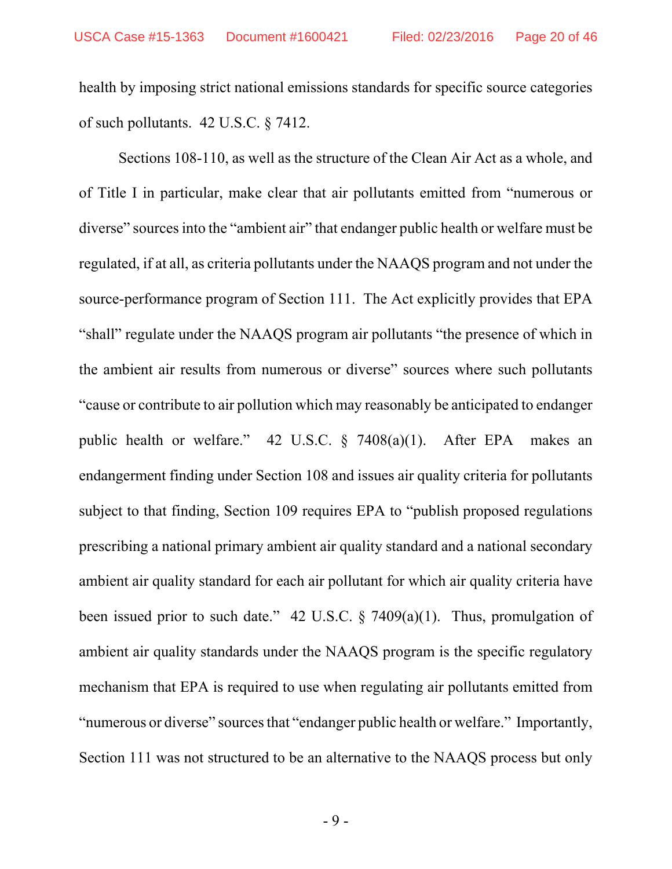health by imposing strict national emissions standards for specific source categories of such pollutants. 42 U.S.C. § 7412.

Sections 108-110, as well as the structure of the Clean Air Act as a whole, and of Title I in particular, make clear that air pollutants emitted from "numerous or diverse" sources into the "ambient air" that endanger public health or welfare must be regulated, if at all, as criteria pollutants under the NAAQS program and not under the source-performance program of Section 111. The Act explicitly provides that EPA "shall" regulate under the NAAQS program air pollutants "the presence of which in the ambient air results from numerous or diverse" sources where such pollutants "cause or contribute to air pollution which may reasonably be anticipated to endanger public health or welfare." 42 U.S.C. § 7408(a)(1). After EPA makes an endangerment finding under Section 108 and issues air quality criteria for pollutants subject to that finding, Section 109 requires EPA to "publish proposed regulations prescribing a national primary ambient air quality standard and a national secondary ambient air quality standard for each air pollutant for which air quality criteria have been issued prior to such date." 42 U.S.C.  $\S$  7409(a)(1). Thus, promulgation of ambient air quality standards under the NAAQS program is the specific regulatory mechanism that EPA is required to use when regulating air pollutants emitted from "numerous or diverse" sources that "endanger public health or welfare." Importantly, Section 111 was not structured to be an alternative to the NAAQS process but only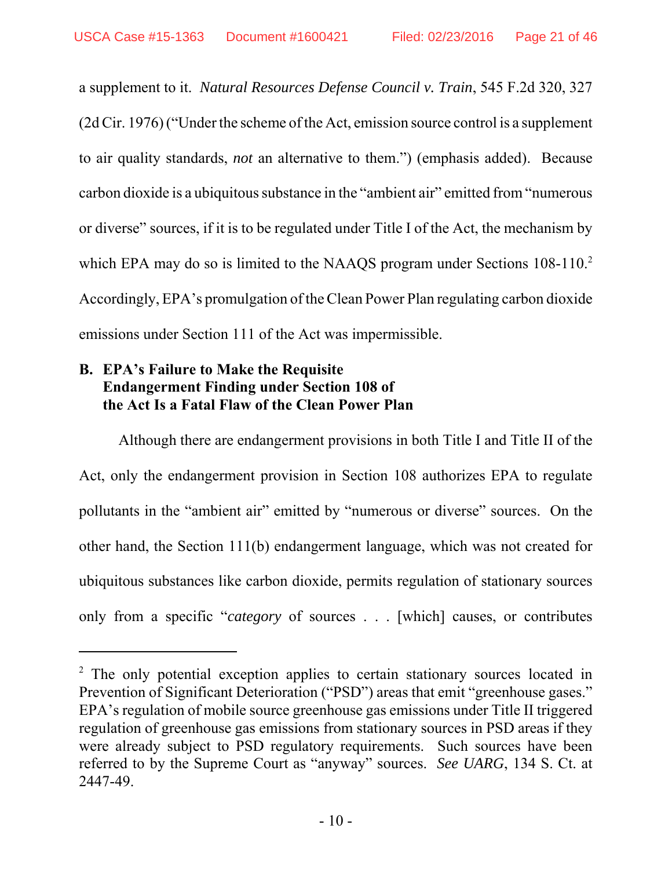a supplement to it. *Natural Resources Defense Council v. Train*, 545 F.2d 320, 327 (2d Cir. 1976) ("Under the scheme of the Act, emission source control is a supplement to air quality standards, *not* an alternative to them.") (emphasis added). Because carbon dioxide is a ubiquitous substance in the "ambient air" emitted from "numerous or diverse" sources, if it is to be regulated under Title I of the Act, the mechanism by which EPA may do so is limited to the NAAQS program under Sections 108-110.<sup>2</sup> Accordingly, EPA's promulgation of the Clean Power Plan regulating carbon dioxide emissions under Section 111 of the Act was impermissible.

### **B. EPA's Failure to Make the Requisite Endangerment Finding under Section 108 of the Act Is a Fatal Flaw of the Clean Power Plan**

Although there are endangerment provisions in both Title I and Title II of the Act, only the endangerment provision in Section 108 authorizes EPA to regulate pollutants in the "ambient air" emitted by "numerous or diverse" sources. On the other hand, the Section 111(b) endangerment language, which was not created for ubiquitous substances like carbon dioxide, permits regulation of stationary sources only from a specific "*category* of sources . . . [which] causes, or contributes

<sup>&</sup>lt;sup>2</sup> The only potential exception applies to certain stationary sources located in Prevention of Significant Deterioration ("PSD") areas that emit "greenhouse gases." EPA's regulation of mobile source greenhouse gas emissions under Title II triggered regulation of greenhouse gas emissions from stationary sources in PSD areas if they were already subject to PSD regulatory requirements. Such sources have been referred to by the Supreme Court as "anyway" sources. *See UARG*, 134 S. Ct. at 2447-49.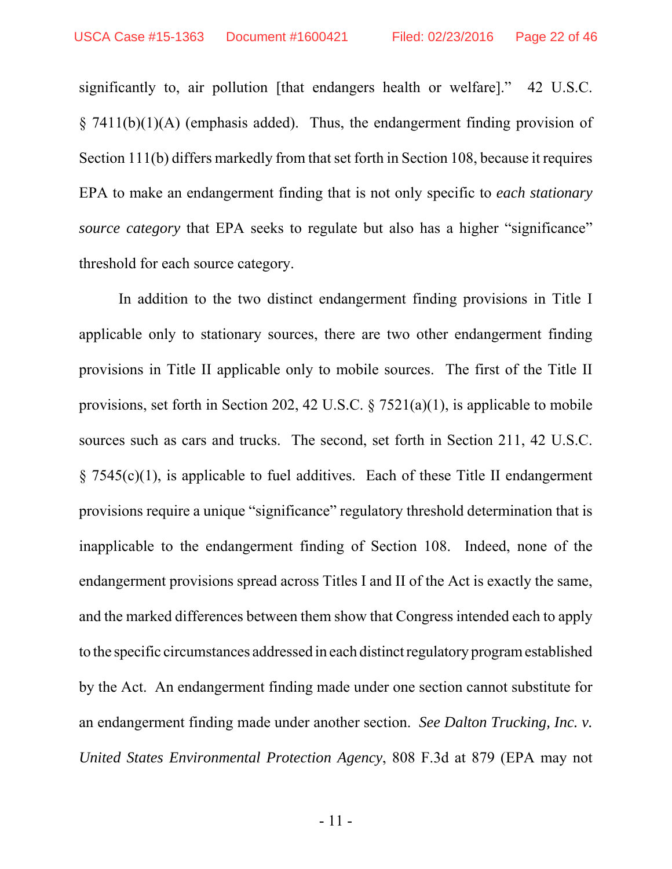significantly to, air pollution [that endangers health or welfare]." 42 U.S.C.  $\S$  7411(b)(1)(A) (emphasis added). Thus, the endangerment finding provision of Section 111(b) differs markedly from that set forth in Section 108, because it requires EPA to make an endangerment finding that is not only specific to *each stationary source category* that EPA seeks to regulate but also has a higher "significance" threshold for each source category.

In addition to the two distinct endangerment finding provisions in Title I applicable only to stationary sources, there are two other endangerment finding provisions in Title II applicable only to mobile sources. The first of the Title II provisions, set forth in Section 202, 42 U.S.C. § 7521(a)(1), is applicable to mobile sources such as cars and trucks. The second, set forth in Section 211, 42 U.S.C.  $\S$  7545(c)(1), is applicable to fuel additives. Each of these Title II endangerment provisions require a unique "significance" regulatory threshold determination that is inapplicable to the endangerment finding of Section 108. Indeed, none of the endangerment provisions spread across Titles I and II of the Act is exactly the same, and the marked differences between them show that Congress intended each to apply to the specific circumstances addressed in each distinct regulatory program established by the Act. An endangerment finding made under one section cannot substitute for an endangerment finding made under another section. *See Dalton Trucking, Inc. v. United States Environmental Protection Agency*, 808 F.3d at 879 (EPA may not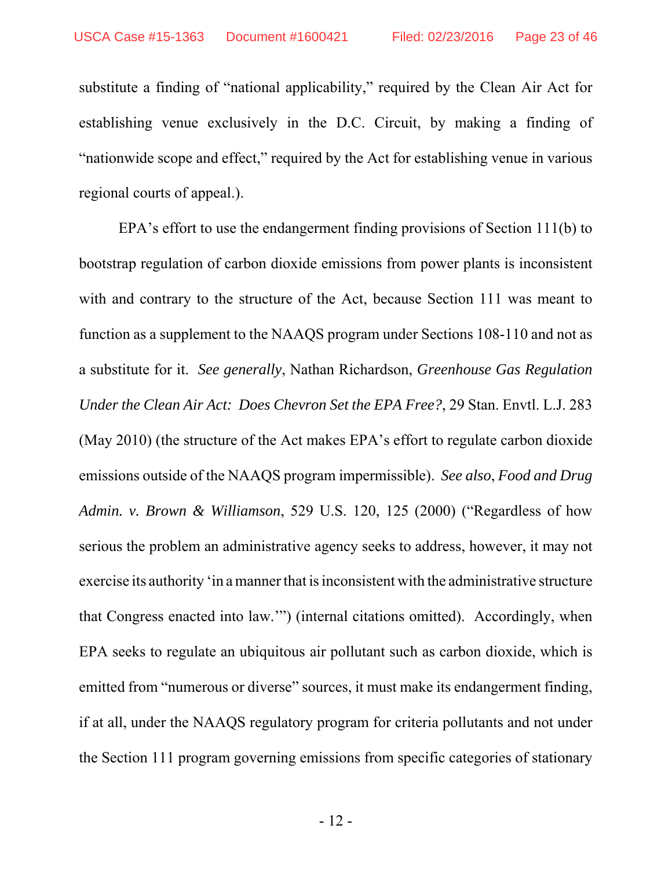substitute a finding of "national applicability," required by the Clean Air Act for establishing venue exclusively in the D.C. Circuit, by making a finding of "nationwide scope and effect," required by the Act for establishing venue in various regional courts of appeal.).

EPA's effort to use the endangerment finding provisions of Section 111(b) to bootstrap regulation of carbon dioxide emissions from power plants is inconsistent with and contrary to the structure of the Act, because Section 111 was meant to function as a supplement to the NAAQS program under Sections 108-110 and not as a substitute for it. *See generally*, Nathan Richardson, *Greenhouse Gas Regulation Under the Clean Air Act: Does Chevron Set the EPA Free?*, 29 Stan. Envtl. L.J. 283 (May 2010) (the structure of the Act makes EPA's effort to regulate carbon dioxide emissions outside of the NAAQS program impermissible). *See also*, *Food and Drug Admin. v. Brown & Williamson*, 529 U.S. 120, 125 (2000) ("Regardless of how serious the problem an administrative agency seeks to address, however, it may not exercise its authority 'in a manner that is inconsistent with the administrative structure that Congress enacted into law.'") (internal citations omitted). Accordingly, when EPA seeks to regulate an ubiquitous air pollutant such as carbon dioxide, which is emitted from "numerous or diverse" sources, it must make its endangerment finding, if at all, under the NAAQS regulatory program for criteria pollutants and not under the Section 111 program governing emissions from specific categories of stationary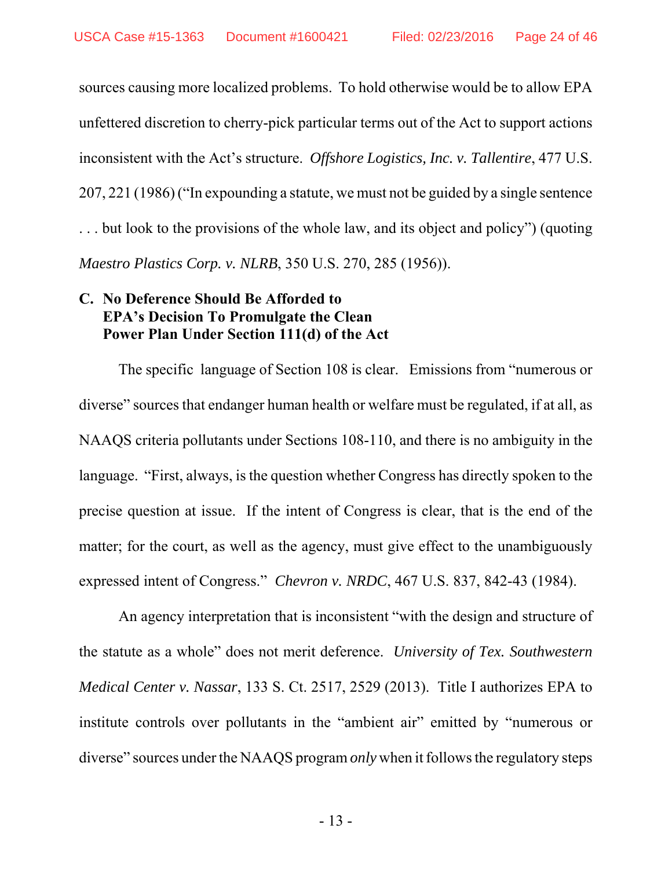sources causing more localized problems. To hold otherwise would be to allow EPA unfettered discretion to cherry-pick particular terms out of the Act to support actions inconsistent with the Act's structure. *Offshore Logistics, Inc. v. Tallentire*, 477 U.S. 207, 221 (1986) ("In expounding a statute, we must not be guided by a single sentence . . . but look to the provisions of the whole law, and its object and policy") (quoting *Maestro Plastics Corp. v. NLRB*, 350 U.S. 270, 285 (1956)).

#### **C. No Deference Should Be Afforded to EPA's Decision To Promulgate the Clean Power Plan Under Section 111(d) of the Act**

The specific language of Section 108 is clear. Emissions from "numerous or diverse" sources that endanger human health or welfare must be regulated, if at all, as NAAQS criteria pollutants under Sections 108-110, and there is no ambiguity in the language. "First, always, is the question whether Congress has directly spoken to the precise question at issue. If the intent of Congress is clear, that is the end of the matter; for the court, as well as the agency, must give effect to the unambiguously expressed intent of Congress." *Chevron v. NRDC*, 467 U.S. 837, 842-43 (1984).

An agency interpretation that is inconsistent "with the design and structure of the statute as a whole" does not merit deference. *University of Tex. Southwestern Medical Center v. Nassar*, 133 S. Ct. 2517, 2529 (2013). Title I authorizes EPA to institute controls over pollutants in the "ambient air" emitted by "numerous or diverse" sources under the NAAQS program *only* when it follows the regulatory steps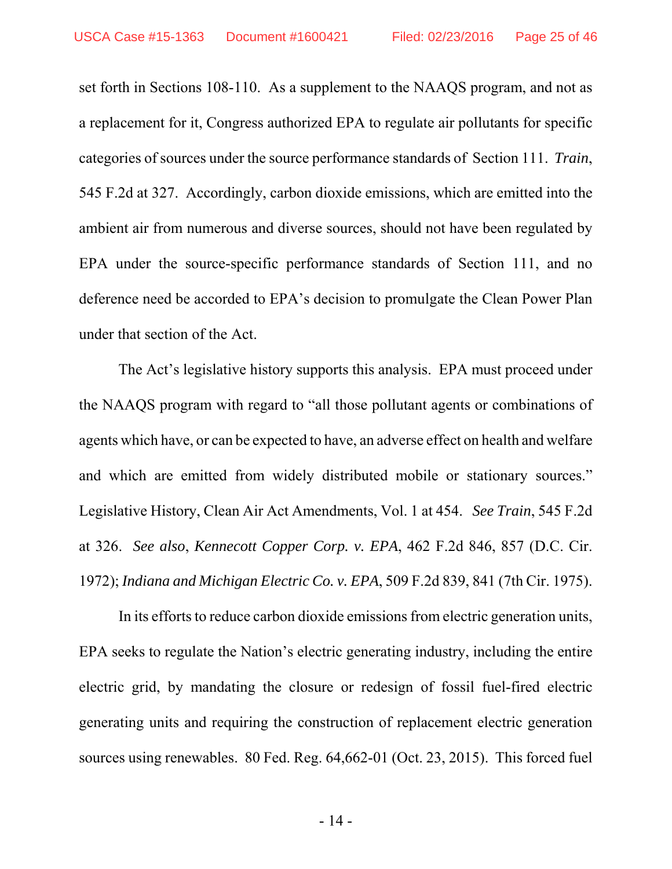set forth in Sections 108-110. As a supplement to the NAAQS program, and not as a replacement for it, Congress authorized EPA to regulate air pollutants for specific categories of sources under the source performance standards of Section 111. *Train*, 545 F.2d at 327. Accordingly, carbon dioxide emissions, which are emitted into the ambient air from numerous and diverse sources, should not have been regulated by EPA under the source-specific performance standards of Section 111, and no deference need be accorded to EPA's decision to promulgate the Clean Power Plan under that section of the Act.

The Act's legislative history supports this analysis. EPA must proceed under the NAAQS program with regard to "all those pollutant agents or combinations of agents which have, or can be expected to have, an adverse effect on health and welfare and which are emitted from widely distributed mobile or stationary sources." Legislative History, Clean Air Act Amendments, Vol. 1 at 454. *See Train*, 545 F.2d at 326. *See also*, *Kennecott Copper Corp. v. EPA*, 462 F.2d 846, 857 (D.C. Cir. 1972); *Indiana and Michigan Electric Co. v. EPA*, 509 F.2d 839, 841 (7th Cir. 1975).

In its efforts to reduce carbon dioxide emissions from electric generation units, EPA seeks to regulate the Nation's electric generating industry, including the entire electric grid, by mandating the closure or redesign of fossil fuel-fired electric generating units and requiring the construction of replacement electric generation sources using renewables. 80 Fed. Reg. 64,662-01 (Oct. 23, 2015). This forced fuel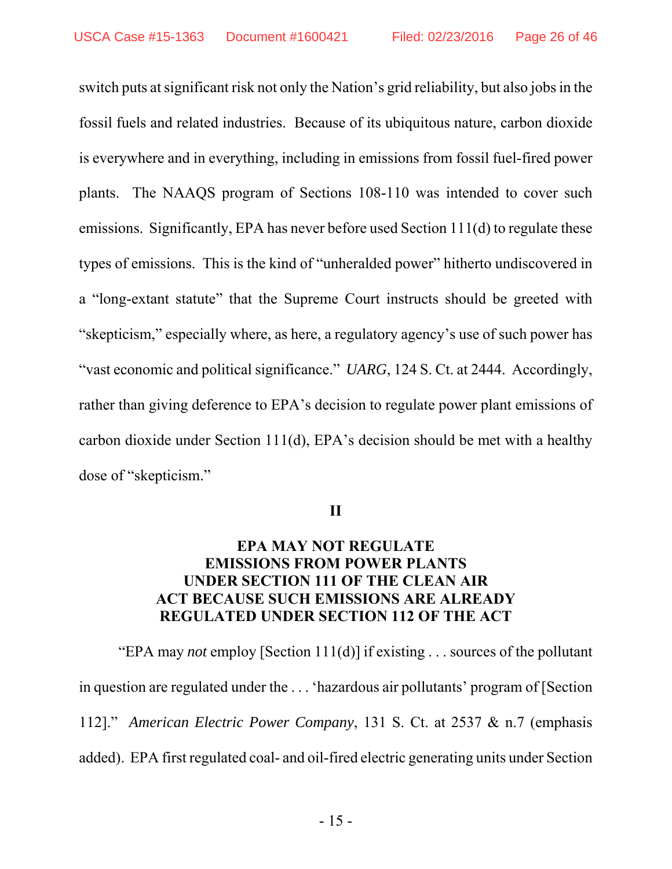switch puts at significant risk not only the Nation's grid reliability, but also jobs in the fossil fuels and related industries. Because of its ubiquitous nature, carbon dioxide is everywhere and in everything, including in emissions from fossil fuel-fired power plants. The NAAQS program of Sections 108-110 was intended to cover such emissions. Significantly, EPA has never before used Section 111(d) to regulate these types of emissions. This is the kind of "unheralded power" hitherto undiscovered in a "long-extant statute" that the Supreme Court instructs should be greeted with "skepticism," especially where, as here, a regulatory agency's use of such power has "vast economic and political significance." *UARG*, 124 S. Ct. at 2444. Accordingly, rather than giving deference to EPA's decision to regulate power plant emissions of carbon dioxide under Section 111(d), EPA's decision should be met with a healthy dose of "skepticism."

**II**

#### **EPA MAY NOT REGULATE EMISSIONS FROM POWER PLANTS UNDER SECTION 111 OF THE CLEAN AIR ACT BECAUSE SUCH EMISSIONS ARE ALREADY REGULATED UNDER SECTION 112 OF THE ACT**

"EPA may *not* employ [Section 111(d)] if existing . . . sources of the pollutant in question are regulated under the . . . 'hazardous air pollutants' program of [Section 112]." *American Electric Power Company*, 131 S. Ct. at 2537 & n.7 (emphasis added). EPA first regulated coal- and oil-fired electric generating units under Section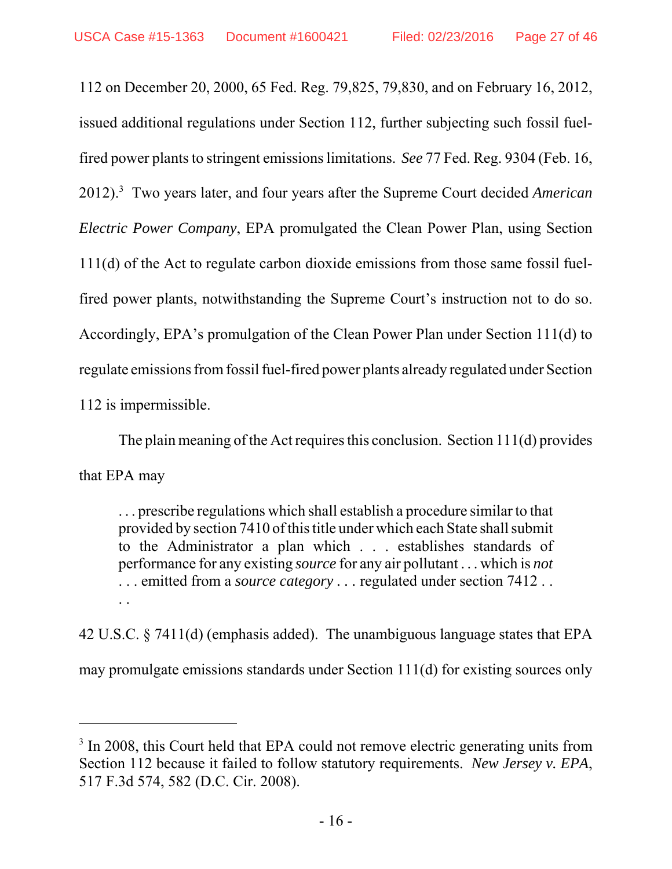112 on December 20, 2000, 65 Fed. Reg. 79,825, 79,830, and on February 16, 2012, issued additional regulations under Section 112, further subjecting such fossil fuelfired power plants to stringent emissions limitations. *See* 77 Fed. Reg. 9304 (Feb. 16, 2012).3 Two years later, and four years after the Supreme Court decided *American Electric Power Company*, EPA promulgated the Clean Power Plan, using Section 111(d) of the Act to regulate carbon dioxide emissions from those same fossil fuelfired power plants, notwithstanding the Supreme Court's instruction not to do so. Accordingly, EPA's promulgation of the Clean Power Plan under Section 111(d) to regulate emissions from fossil fuel-fired power plants already regulated under Section 112 is impermissible.

The plain meaning of the Act requires this conclusion. Section 111(d) provides that EPA may

. . . prescribe regulations which shall establish a procedure similar to that provided by section 7410 of this title under which each State shall submit to the Administrator a plan which . . . establishes standards of performance for any existing *source* for any air pollutant . . . which is *not* . . . emitted from a *source category . . .* regulated under section 7412 . . . .

42 U.S.C. § 7411(d) (emphasis added). The unambiguous language states that EPA may promulgate emissions standards under Section 111(d) for existing sources only

<sup>&</sup>lt;sup>3</sup> In 2008, this Court held that EPA could not remove electric generating units from Section 112 because it failed to follow statutory requirements. *New Jersey v. EPA*, 517 F.3d 574, 582 (D.C. Cir. 2008).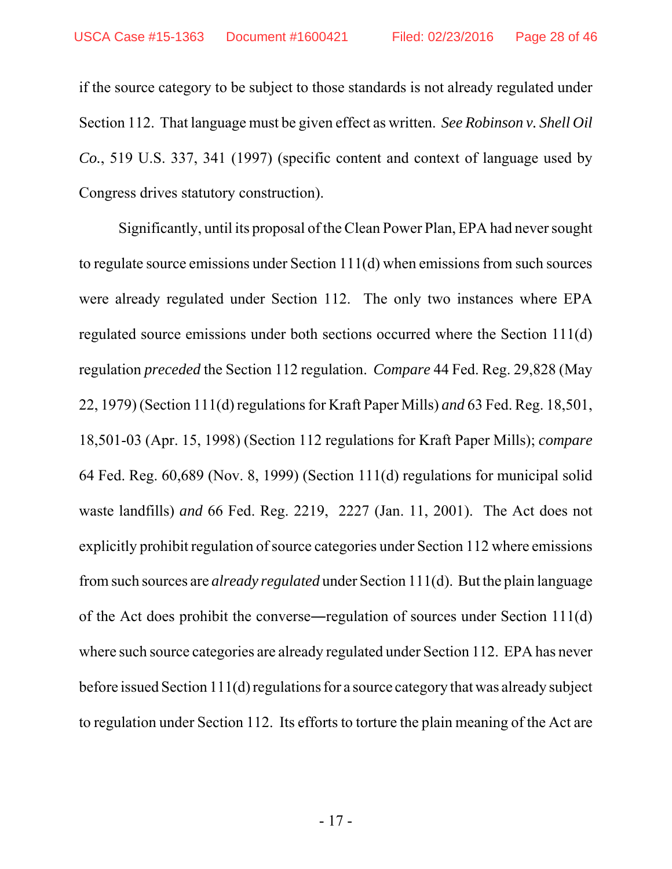if the source category to be subject to those standards is not already regulated under Section 112. That language must be given effect as written. *See Robinson v. Shell Oil Co.*, 519 U.S. 337, 341 (1997) (specific content and context of language used by Congress drives statutory construction).

Significantly, until its proposal of the Clean Power Plan, EPA had never sought to regulate source emissions under Section 111(d) when emissions from such sources were already regulated under Section 112. The only two instances where EPA regulated source emissions under both sections occurred where the Section 111(d) regulation *preceded* the Section 112 regulation. *Compare* 44 Fed. Reg. 29,828 (May 22, 1979) (Section 111(d) regulations for Kraft Paper Mills) *and* 63 Fed. Reg. 18,501, 18,501-03 (Apr. 15, 1998) (Section 112 regulations for Kraft Paper Mills); *compare* 64 Fed. Reg. 60,689 (Nov. 8, 1999) (Section 111(d) regulations for municipal solid waste landfills) *and* 66 Fed. Reg. 2219, 2227 (Jan. 11, 2001). The Act does not explicitly prohibit regulation of source categories under Section 112 where emissions from such sources are *already regulated* under Section 111(d). But the plain language of the Act does prohibit the converse―regulation of sources under Section 111(d) where such source categories are already regulated under Section 112. EPA has never before issued Section 111(d) regulations for a source category that was already subject to regulation under Section 112. Its efforts to torture the plain meaning of the Act are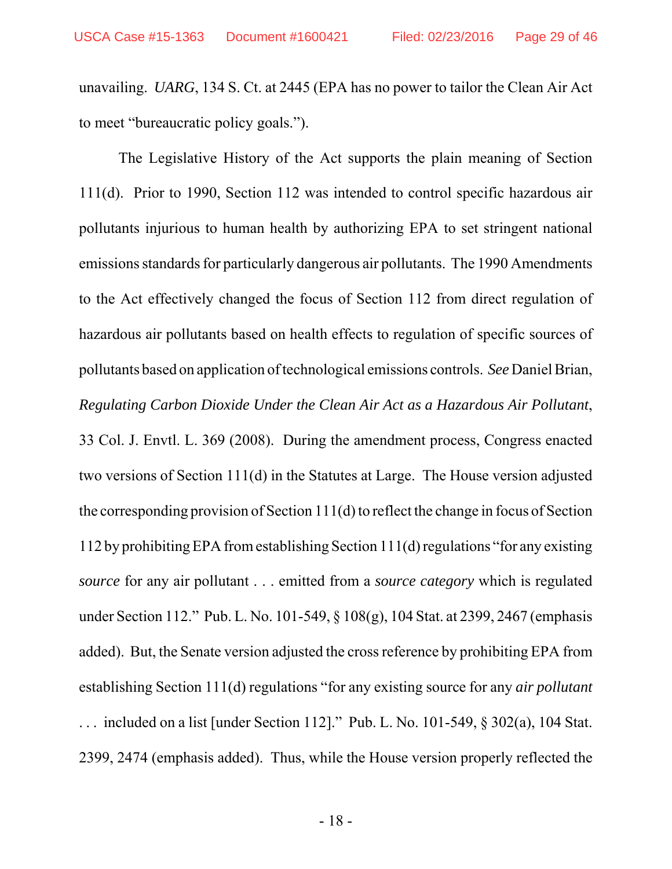unavailing. *UARG*, 134 S. Ct. at 2445 (EPA has no power to tailor the Clean Air Act to meet "bureaucratic policy goals.").

The Legislative History of the Act supports the plain meaning of Section 111(d). Prior to 1990, Section 112 was intended to control specific hazardous air pollutants injurious to human health by authorizing EPA to set stringent national emissions standards for particularly dangerous air pollutants. The 1990 Amendments to the Act effectively changed the focus of Section 112 from direct regulation of hazardous air pollutants based on health effects to regulation of specific sources of pollutants based on application of technological emissions controls. *See* Daniel Brian, *Regulating Carbon Dioxide Under the Clean Air Act as a Hazardous Air Pollutant*, 33 Col. J. Envtl. L. 369 (2008). During the amendment process, Congress enacted two versions of Section 111(d) in the Statutes at Large. The House version adjusted the corresponding provision of Section 111(d) to reflect the change in focus of Section 112 by prohibiting EPA from establishing Section 111(d) regulations "for any existing *source* for any air pollutant . . . emitted from a *source category* which is regulated under Section 112." Pub. L. No. 101-549, § 108(g), 104 Stat. at 2399, 2467 (emphasis added). But, the Senate version adjusted the cross reference by prohibiting EPA from establishing Section 111(d) regulations "for any existing source for any *air pollutant* . . . included on a list [under Section 112]." Pub. L. No. 101-549, § 302(a), 104 Stat. 2399, 2474 (emphasis added). Thus, while the House version properly reflected the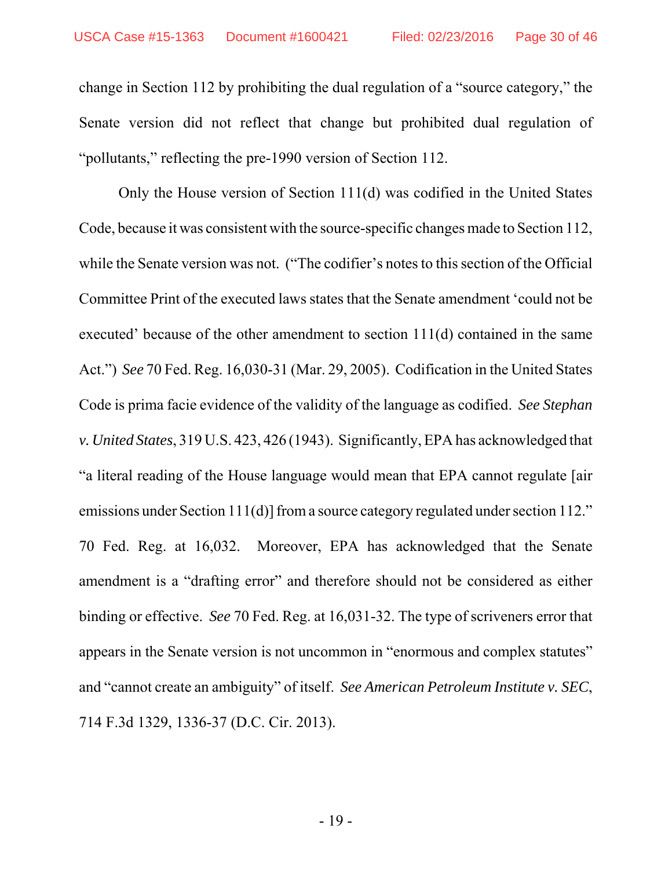change in Section 112 by prohibiting the dual regulation of a "source category," the Senate version did not reflect that change but prohibited dual regulation of "pollutants," reflecting the pre-1990 version of Section 112.

Only the House version of Section 111(d) was codified in the United States Code, because it was consistent with the source-specific changes made to Section 112, while the Senate version was not. ("The codifier's notes to this section of the Official Committee Print of the executed laws states that the Senate amendment 'could not be executed' because of the other amendment to section 111(d) contained in the same Act.") *See* 70 Fed. Reg. 16,030-31 (Mar. 29, 2005). Codification in the United States Code is prima facie evidence of the validity of the language as codified. *See Stephan v. United States*, 319 U.S. 423, 426 (1943). Significantly, EPA has acknowledged that "a literal reading of the House language would mean that EPA cannot regulate [air emissions under Section 111(d)] from a source category regulated under section 112." 70 Fed. Reg. at 16,032. Moreover, EPA has acknowledged that the Senate amendment is a "drafting error" and therefore should not be considered as either binding or effective. *See* 70 Fed. Reg. at 16,031-32. The type of scriveners error that appears in the Senate version is not uncommon in "enormous and complex statutes" and "cannot create an ambiguity" of itself. *See American Petroleum Institute v. SEC*, 714 F.3d 1329, 1336-37 (D.C. Cir. 2013).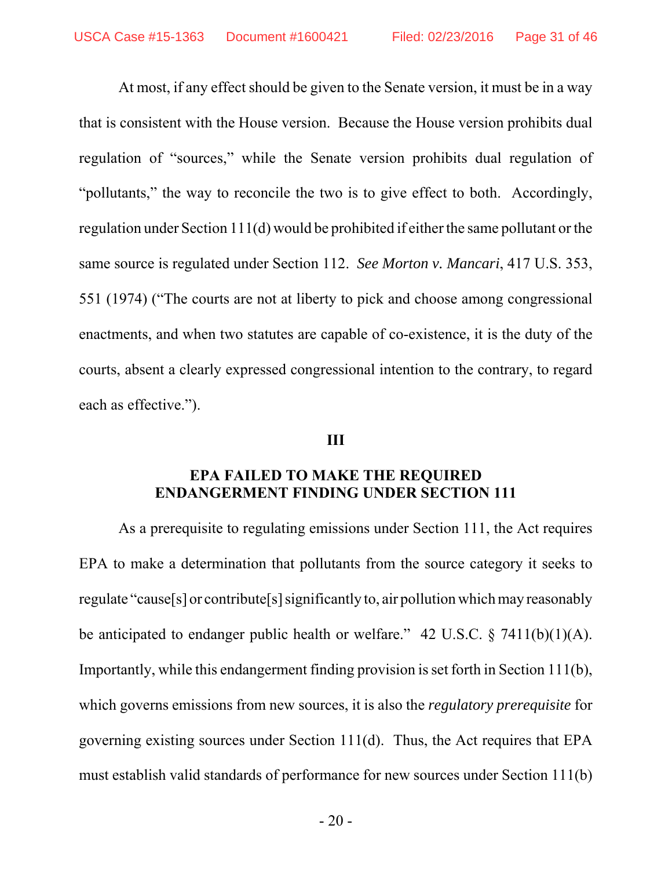At most, if any effect should be given to the Senate version, it must be in a way that is consistent with the House version. Because the House version prohibits dual regulation of "sources," while the Senate version prohibits dual regulation of "pollutants," the way to reconcile the two is to give effect to both. Accordingly, regulation under Section 111(d) would be prohibited if either the same pollutant or the same source is regulated under Section 112. *See Morton v. Mancari*, 417 U.S. 353, 551 (1974) ("The courts are not at liberty to pick and choose among congressional enactments, and when two statutes are capable of co-existence, it is the duty of the courts, absent a clearly expressed congressional intention to the contrary, to regard each as effective.").

#### **III**

#### **EPA FAILED TO MAKE THE REQUIRED ENDANGERMENT FINDING UNDER SECTION 111**

As a prerequisite to regulating emissions under Section 111, the Act requires EPA to make a determination that pollutants from the source category it seeks to regulate "cause[s] or contribute[s] significantly to, air pollution which may reasonably be anticipated to endanger public health or welfare." 42 U.S.C.  $\S$  7411(b)(1)(A). Importantly, while this endangerment finding provision is set forth in Section 111(b), which governs emissions from new sources, it is also the *regulatory prerequisite* for governing existing sources under Section 111(d). Thus, the Act requires that EPA must establish valid standards of performance for new sources under Section 111(b)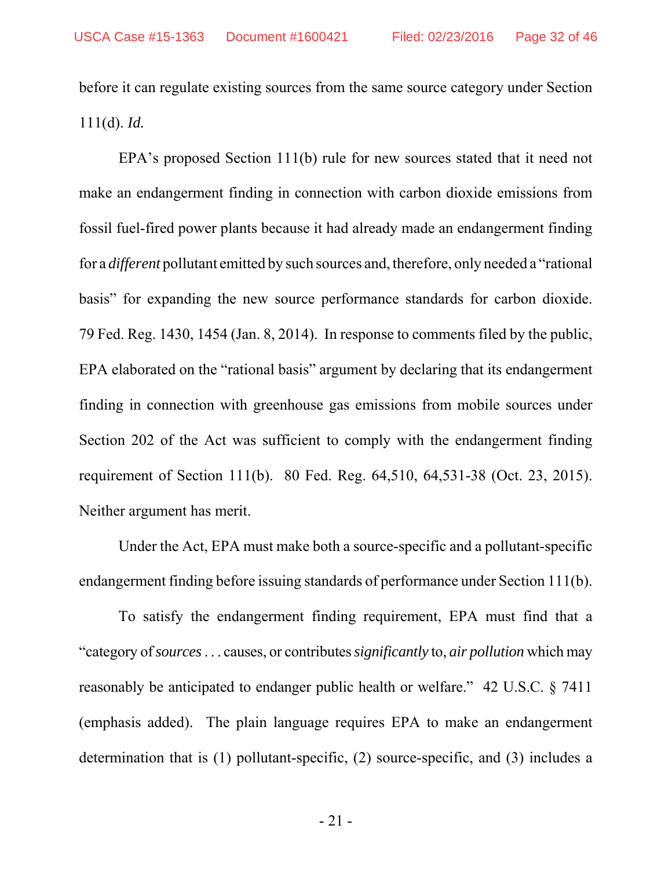before it can regulate existing sources from the same source category under Section 111(d). *Id.* 

EPA's proposed Section 111(b) rule for new sources stated that it need not make an endangerment finding in connection with carbon dioxide emissions from fossil fuel-fired power plants because it had already made an endangerment finding for a *different* pollutant emitted by such sources and, therefore, only needed a "rational basis" for expanding the new source performance standards for carbon dioxide. 79 Fed. Reg. 1430, 1454 (Jan. 8, 2014). In response to comments filed by the public, EPA elaborated on the "rational basis" argument by declaring that its endangerment finding in connection with greenhouse gas emissions from mobile sources under Section 202 of the Act was sufficient to comply with the endangerment finding requirement of Section 111(b). 80 Fed. Reg. 64,510, 64,531-38 (Oct. 23, 2015). Neither argument has merit.

Under the Act, EPA must make both a source-specific and a pollutant-specific endangerment finding before issuing standards of performance under Section 111(b).

To satisfy the endangerment finding requirement, EPA must find that a "category of *sources* . . . causes, or contributes *significantly* to, *air pollution* which may reasonably be anticipated to endanger public health or welfare." 42 U.S.C. § 7411 (emphasis added). The plain language requires EPA to make an endangerment determination that is (1) pollutant-specific, (2) source-specific, and (3) includes a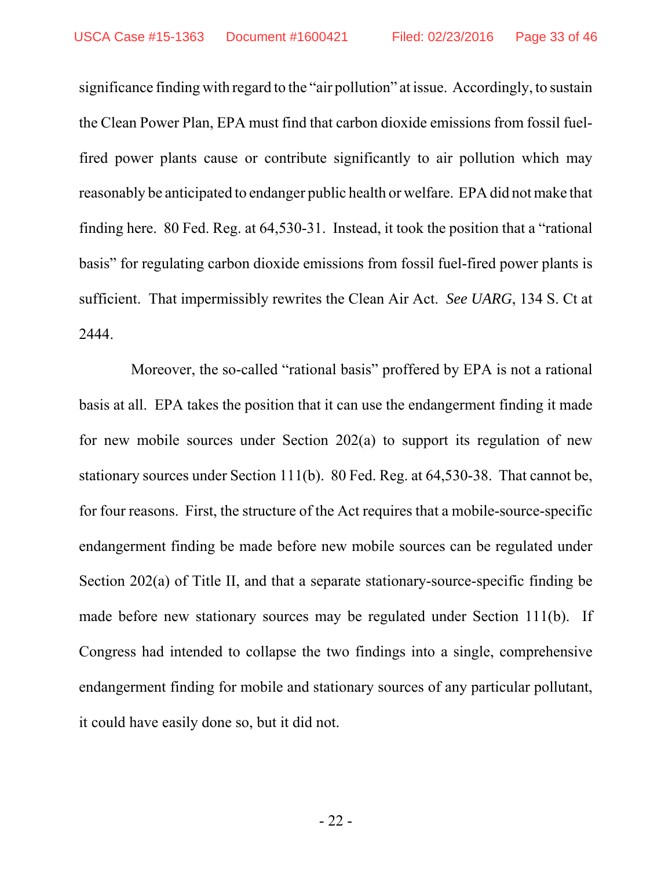significance finding with regard to the "air pollution" at issue. Accordingly, to sustain the Clean Power Plan, EPA must find that carbon dioxide emissions from fossil fuelfired power plants cause or contribute significantly to air pollution which may reasonably be anticipated to endanger public health or welfare. EPA did not make that finding here. 80 Fed. Reg. at 64,530-31. Instead, it took the position that a "rational basis" for regulating carbon dioxide emissions from fossil fuel-fired power plants is sufficient. That impermissibly rewrites the Clean Air Act. *See UARG*, 134 S. Ct at 2444.

 Moreover, the so-called "rational basis" proffered by EPA is not a rational basis at all. EPA takes the position that it can use the endangerment finding it made for new mobile sources under Section 202(a) to support its regulation of new stationary sources under Section 111(b). 80 Fed. Reg. at 64,530-38. That cannot be, for four reasons. First, the structure of the Act requires that a mobile-source-specific endangerment finding be made before new mobile sources can be regulated under Section 202(a) of Title II, and that a separate stationary-source-specific finding be made before new stationary sources may be regulated under Section 111(b). If Congress had intended to collapse the two findings into a single, comprehensive endangerment finding for mobile and stationary sources of any particular pollutant, it could have easily done so, but it did not.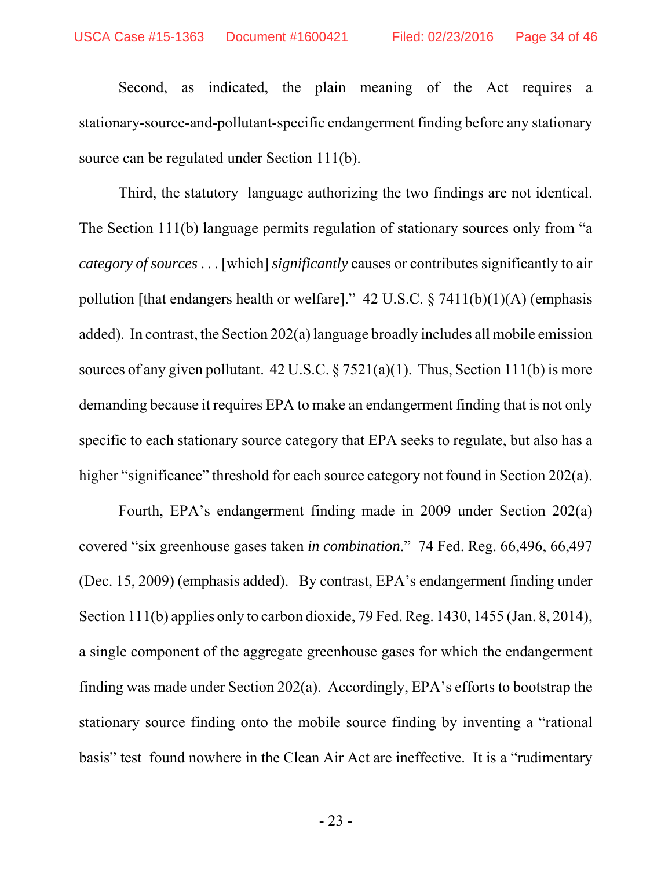Second, as indicated, the plain meaning of the Act requires a stationary-source-and-pollutant-specific endangerment finding before any stationary source can be regulated under Section 111(b).

Third, the statutory language authorizing the two findings are not identical. The Section 111(b) language permits regulation of stationary sources only from "a *category of sources* . . . [which] *significantly* causes or contributes significantly to air pollution [that endangers health or welfare]."  $42 \text{ U.S.C.}$  §  $7411(b)(1)(\text{A})$  (emphasis added). In contrast, the Section 202(a) language broadly includes all mobile emission sources of any given pollutant.  $42 \text{ U.S.C.} \$   $7521(a)(1)$ . Thus, Section 111(b) is more demanding because it requires EPA to make an endangerment finding that is not only specific to each stationary source category that EPA seeks to regulate, but also has a higher "significance" threshold for each source category not found in Section 202(a).

Fourth, EPA's endangerment finding made in 2009 under Section 202(a) covered "six greenhouse gases taken *in combination*." 74 Fed. Reg. 66,496, 66,497 (Dec. 15, 2009) (emphasis added). By contrast, EPA's endangerment finding under Section 111(b) applies only to carbon dioxide, 79 Fed. Reg. 1430, 1455 (Jan. 8, 2014), a single component of the aggregate greenhouse gases for which the endangerment finding was made under Section 202(a). Accordingly, EPA's efforts to bootstrap the stationary source finding onto the mobile source finding by inventing a "rational basis" test found nowhere in the Clean Air Act are ineffective. It is a "rudimentary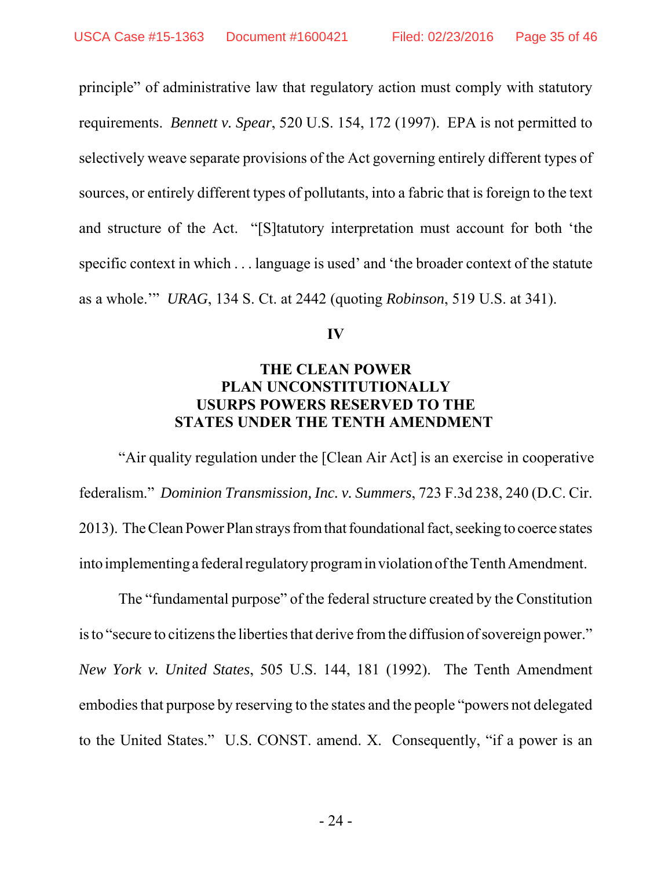principle" of administrative law that regulatory action must comply with statutory requirements. *Bennett v. Spear*, 520 U.S. 154, 172 (1997). EPA is not permitted to selectively weave separate provisions of the Act governing entirely different types of sources, or entirely different types of pollutants, into a fabric that is foreign to the text and structure of the Act. "[S]tatutory interpretation must account for both 'the specific context in which . . . language is used' and 'the broader context of the statute as a whole.'" *URAG*, 134 S. Ct. at 2442 (quoting *Robinson*, 519 U.S. at 341).

#### **IV**

#### **THE CLEAN POWER PLAN UNCONSTITUTIONALLY USURPS POWERS RESERVED TO THE STATES UNDER THE TENTH AMENDMENT**

 "Air quality regulation under the [Clean Air Act] is an exercise in cooperative federalism." *Dominion Transmission, Inc. v. Summers*, 723 F.3d 238, 240 (D.C. Cir. 2013). The Clean Power Plan strays from that foundational fact, seeking to coerce states into implementing a federal regulatory program in violation of the Tenth Amendment.

The "fundamental purpose" of the federal structure created by the Constitution is to "secure to citizens the liberties that derive from the diffusion of sovereign power." *New York v. United States*, 505 U.S. 144, 181 (1992). The Tenth Amendment embodies that purpose by reserving to the states and the people "powers not delegated to the United States." U.S. CONST. amend. X. Consequently, "if a power is an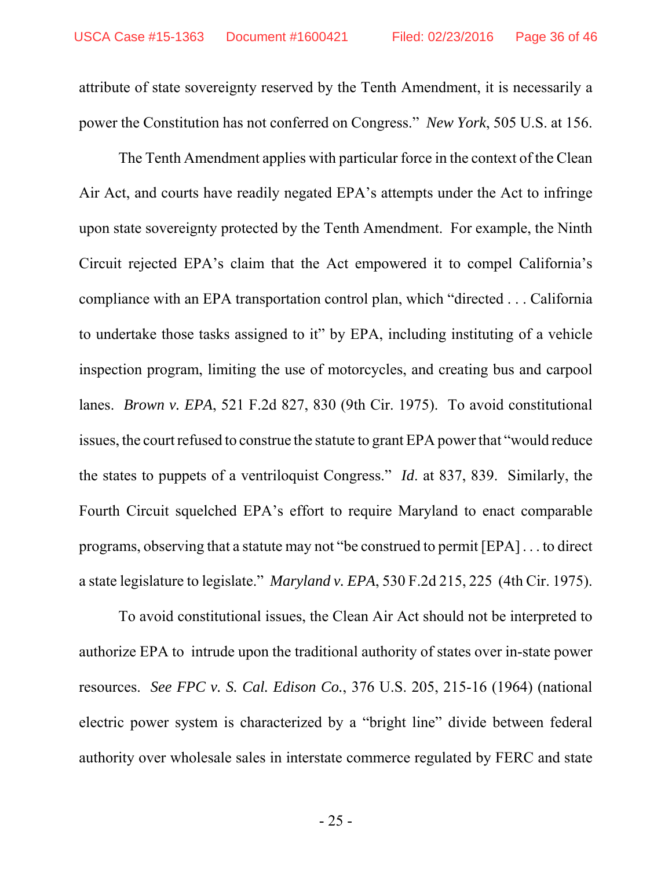attribute of state sovereignty reserved by the Tenth Amendment, it is necessarily a power the Constitution has not conferred on Congress." *New York*, 505 U.S. at 156.

The Tenth Amendment applies with particular force in the context of the Clean Air Act, and courts have readily negated EPA's attempts under the Act to infringe upon state sovereignty protected by the Tenth Amendment. For example, the Ninth Circuit rejected EPA's claim that the Act empowered it to compel California's compliance with an EPA transportation control plan, which "directed . . . California to undertake those tasks assigned to it" by EPA, including instituting of a vehicle inspection program, limiting the use of motorcycles, and creating bus and carpool lanes. *Brown v. EPA*, 521 F.2d 827, 830 (9th Cir. 1975). To avoid constitutional issues, the court refused to construe the statute to grant EPA power that "would reduce the states to puppets of a ventriloquist Congress." *Id*. at 837, 839. Similarly, the Fourth Circuit squelched EPA's effort to require Maryland to enact comparable programs, observing that a statute may not "be construed to permit [EPA] . . . to direct a state legislature to legislate." *Maryland v. EPA*, 530 F.2d 215, 225 (4th Cir. 1975).

To avoid constitutional issues, the Clean Air Act should not be interpreted to authorize EPA to intrude upon the traditional authority of states over in-state power resources. *See FPC v. S. Cal. Edison Co.*, 376 U.S. 205, 215-16 (1964) (national electric power system is characterized by a "bright line" divide between federal authority over wholesale sales in interstate commerce regulated by FERC and state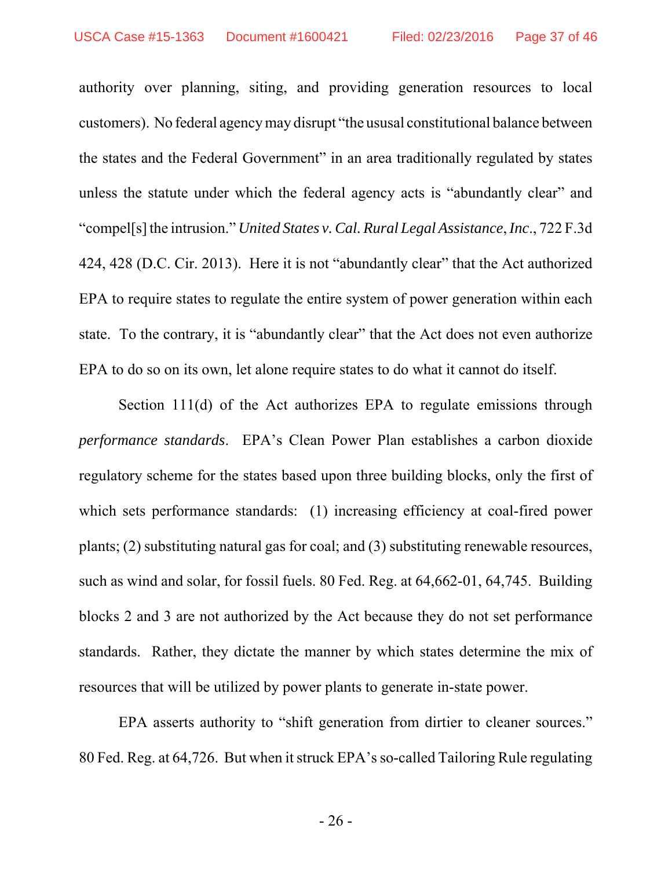authority over planning, siting, and providing generation resources to local customers). No federal agency may disrupt "the ususal constitutional balance between the states and the Federal Government" in an area traditionally regulated by states unless the statute under which the federal agency acts is "abundantly clear" and "compel[s] the intrusion." *United States v. Cal. Rural Legal Assistance*, *Inc*., 722 F.3d 424, 428 (D.C. Cir. 2013). Here it is not "abundantly clear" that the Act authorized EPA to require states to regulate the entire system of power generation within each state. To the contrary, it is "abundantly clear" that the Act does not even authorize EPA to do so on its own, let alone require states to do what it cannot do itself.

Section 111(d) of the Act authorizes EPA to regulate emissions through *performance standards*. EPA's Clean Power Plan establishes a carbon dioxide regulatory scheme for the states based upon three building blocks, only the first of which sets performance standards: (1) increasing efficiency at coal-fired power plants; (2) substituting natural gas for coal; and (3) substituting renewable resources, such as wind and solar, for fossil fuels. 80 Fed. Reg. at 64,662-01, 64,745. Building blocks 2 and 3 are not authorized by the Act because they do not set performance standards. Rather, they dictate the manner by which states determine the mix of resources that will be utilized by power plants to generate in-state power.

EPA asserts authority to "shift generation from dirtier to cleaner sources." 80 Fed. Reg. at 64,726. But when it struck EPA's so-called Tailoring Rule regulating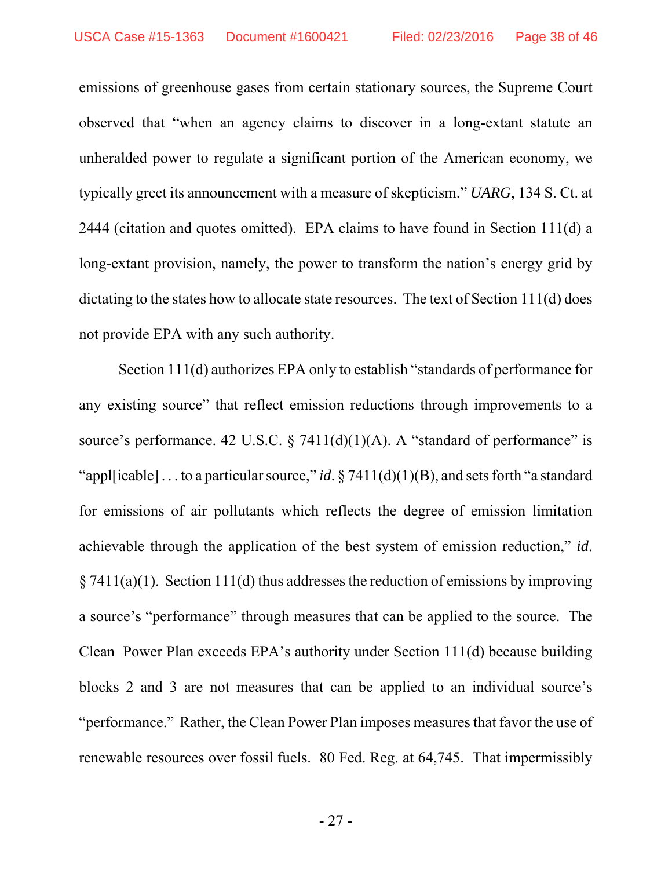emissions of greenhouse gases from certain stationary sources, the Supreme Court observed that "when an agency claims to discover in a long-extant statute an unheralded power to regulate a significant portion of the American economy, we typically greet its announcement with a measure of skepticism." *UARG*, 134 S. Ct. at 2444 (citation and quotes omitted). EPA claims to have found in Section 111(d) a long-extant provision, namely, the power to transform the nation's energy grid by dictating to the states how to allocate state resources. The text of Section 111(d) does not provide EPA with any such authority.

Section 111(d) authorizes EPA only to establish "standards of performance for any existing source" that reflect emission reductions through improvements to a source's performance. 42 U.S.C.  $\S$  7411(d)(1)(A). A "standard of performance" is "appl[icable]... to a particular source," *id*. § 7411(d)(1)(B), and sets forth "a standard for emissions of air pollutants which reflects the degree of emission limitation achievable through the application of the best system of emission reduction," *id*.  $\S 7411(a)(1)$ . Section 111(d) thus addresses the reduction of emissions by improving a source's "performance" through measures that can be applied to the source. The Clean Power Plan exceeds EPA's authority under Section 111(d) because building blocks 2 and 3 are not measures that can be applied to an individual source's "performance." Rather, the Clean Power Plan imposes measures that favor the use of renewable resources over fossil fuels. 80 Fed. Reg. at 64,745. That impermissibly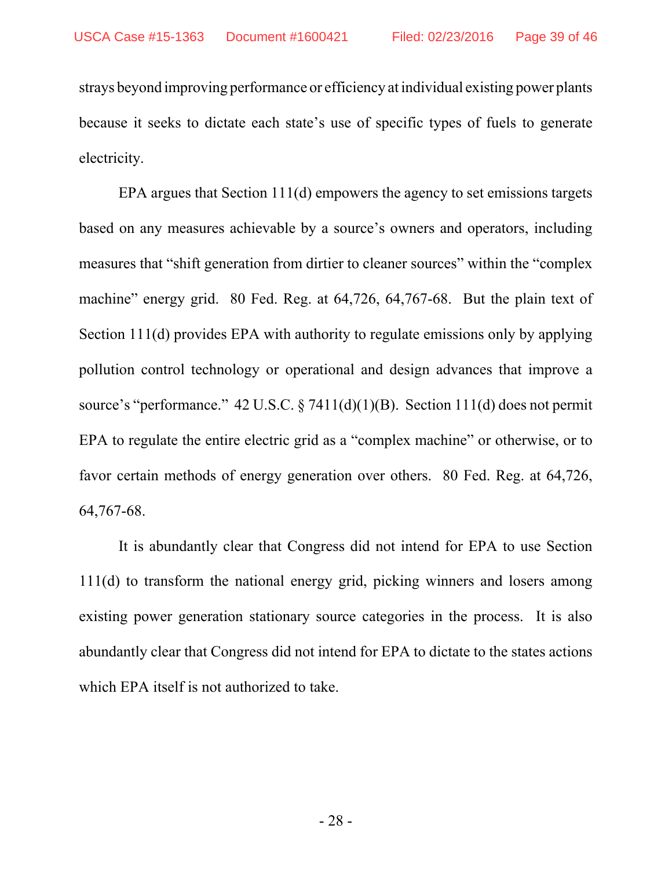strays beyond improving performance or efficiency at individual existing power plants because it seeks to dictate each state's use of specific types of fuels to generate electricity.

EPA argues that Section 111(d) empowers the agency to set emissions targets based on any measures achievable by a source's owners and operators, including measures that "shift generation from dirtier to cleaner sources" within the "complex machine" energy grid. 80 Fed. Reg. at 64,726, 64,767-68. But the plain text of Section 111(d) provides EPA with authority to regulate emissions only by applying pollution control technology or operational and design advances that improve a source's "performance."  $42 \text{ U.S.C.} \$   $7411(d)(1)(B)$ . Section  $111(d)$  does not permit EPA to regulate the entire electric grid as a "complex machine" or otherwise, or to favor certain methods of energy generation over others. 80 Fed. Reg. at 64,726, 64,767-68.

It is abundantly clear that Congress did not intend for EPA to use Section 111(d) to transform the national energy grid, picking winners and losers among existing power generation stationary source categories in the process. It is also abundantly clear that Congress did not intend for EPA to dictate to the states actions which EPA itself is not authorized to take.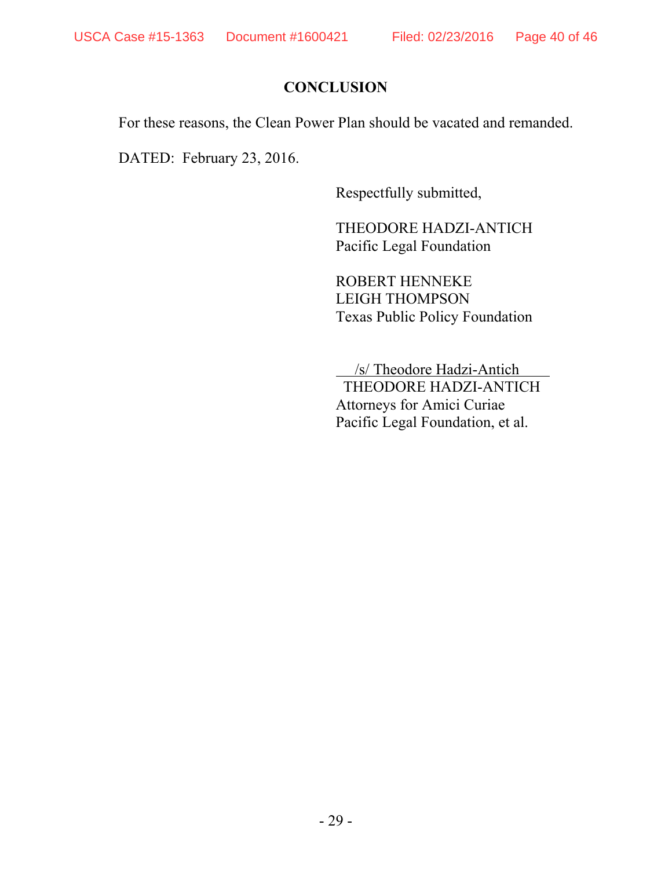## **CONCLUSION**

For these reasons, the Clean Power Plan should be vacated and remanded.

DATED: February 23, 2016.

Respectfully submitted,

THEODORE HADZI-ANTICH Pacific Legal Foundation

ROBERT HENNEKE LEIGH THOMPSON Texas Public Policy Foundation

 /s/ Theodore Hadzi-Antich THEODORE HADZI-ANTICH Attorneys for Amici Curiae Pacific Legal Foundation, et al.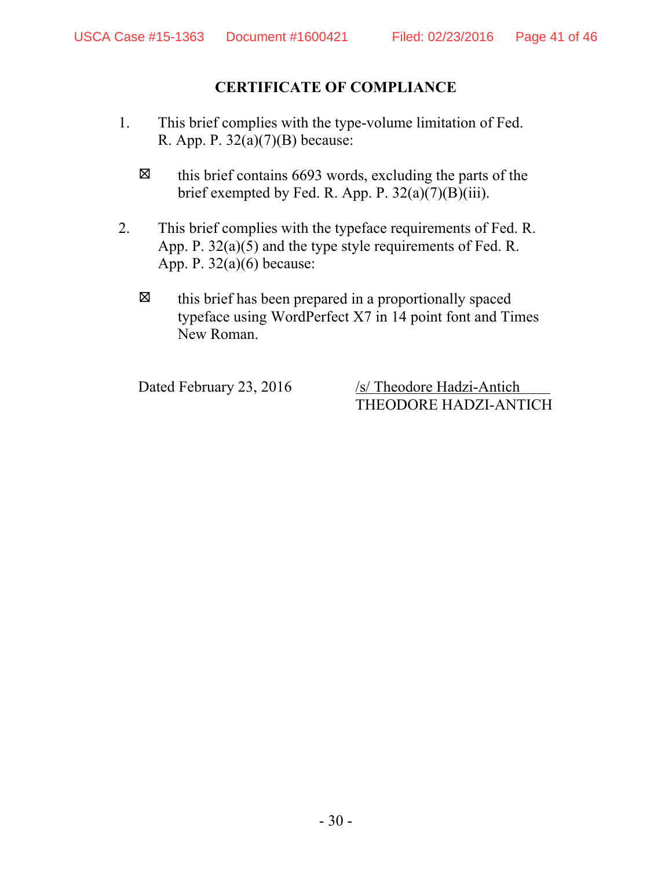#### **CERTIFICATE OF COMPLIANCE**

- 1. This brief complies with the type-volume limitation of Fed. R. App. P. 32(a)(7)(B) because:
	- $\boxtimes$  this brief contains 6693 words, excluding the parts of the brief exempted by Fed. R. App. P. 32(a)(7)(B)(iii).
- 2. This brief complies with the typeface requirements of Fed. R. App. P. 32(a)(5) and the type style requirements of Fed. R. App. P. 32(a)(6) because:
	- $\boxtimes$  this brief has been prepared in a proportionally spaced typeface using WordPerfect X7 in 14 point font and Times New Roman.

Dated February 23, 2016 /s/ Theodore Hadzi-Antich THEODORE HADZI-ANTICH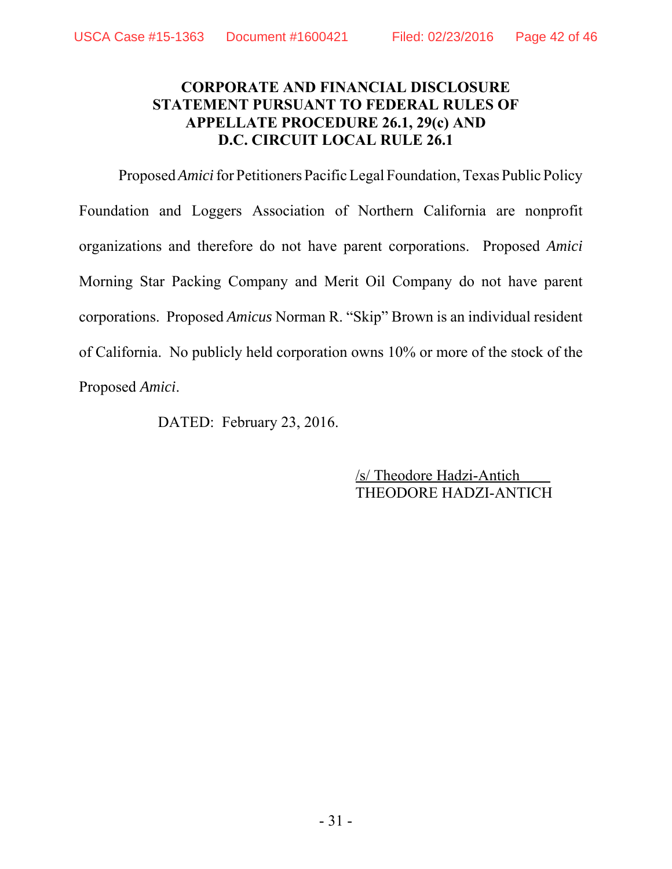#### **CORPORATE AND FINANCIAL DISCLOSURE STATEMENT PURSUANT TO FEDERAL RULES OF APPELLATE PROCEDURE 26.1, 29(c) AND D.C. CIRCUIT LOCAL RULE 26.1**

Proposed *Amici* for Petitioners Pacific Legal Foundation, Texas Public Policy Foundation and Loggers Association of Northern California are nonprofit organizations and therefore do not have parent corporations. Proposed *Amici* Morning Star Packing Company and Merit Oil Company do not have parent corporations. Proposed *Amicus* Norman R. "Skip" Brown is an individual resident of California. No publicly held corporation owns 10% or more of the stock of the Proposed *Amici*.

DATED: February 23, 2016.

/s/ Theodore Hadzi-Antich THEODORE HADZI-ANTICH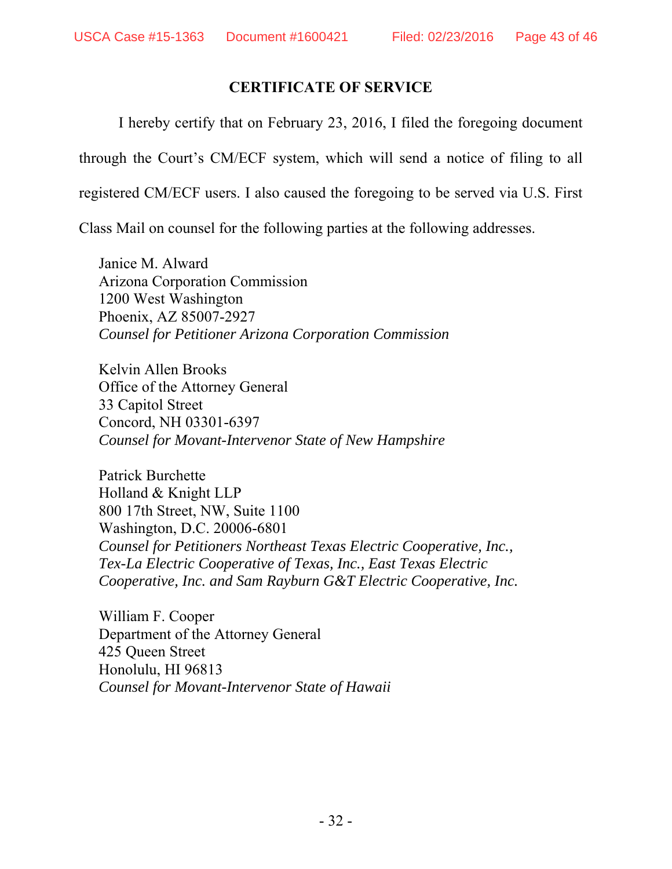#### **CERTIFICATE OF SERVICE**

I hereby certify that on February 23, 2016, I filed the foregoing document

through the Court's CM/ECF system, which will send a notice of filing to all

registered CM/ECF users. I also caused the foregoing to be served via U.S. First

Class Mail on counsel for the following parties at the following addresses.

Janice M. Alward Arizona Corporation Commission 1200 West Washington Phoenix, AZ 85007-2927 *Counsel for Petitioner Arizona Corporation Commission*

Kelvin Allen Brooks Office of the Attorney General 33 Capitol Street Concord, NH 03301-6397 *Counsel for Movant-Intervenor State of New Hampshire*

Patrick Burchette Holland & Knight LLP 800 17th Street, NW, Suite 1100 Washington, D.C. 20006-6801 *Counsel for Petitioners Northeast Texas Electric Cooperative, Inc., Tex-La Electric Cooperative of Texas, Inc., East Texas Electric Cooperative, Inc. and Sam Rayburn G&T Electric Cooperative, Inc.* 

William F. Cooper Department of the Attorney General 425 Queen Street Honolulu, HI 96813 *Counsel for Movant-Intervenor State of Hawaii*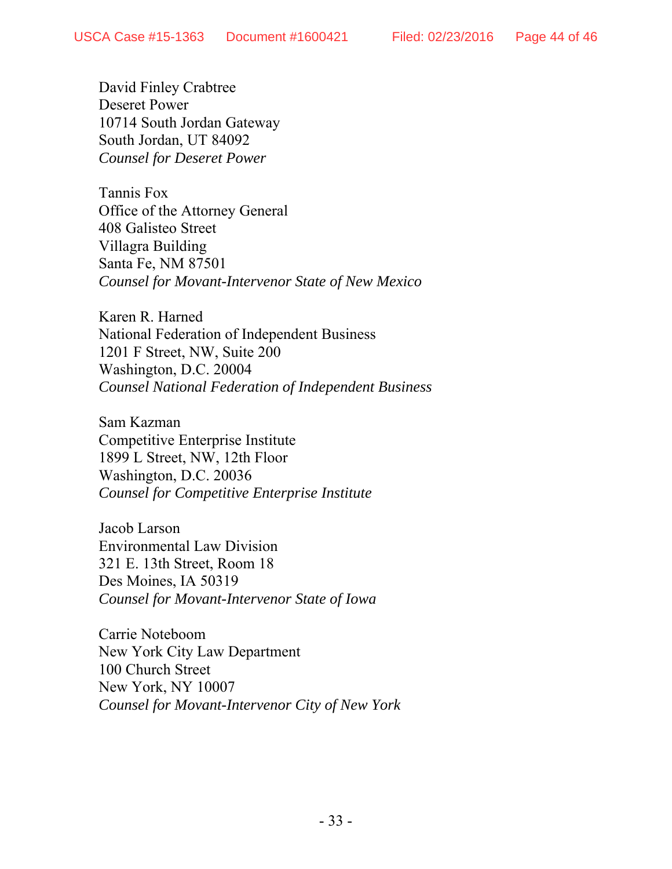David Finley Crabtree Deseret Power 10714 South Jordan Gateway South Jordan, UT 84092 *Counsel for Deseret Power*

Tannis Fox Office of the Attorney General 408 Galisteo Street Villagra Building Santa Fe, NM 87501 *Counsel for Movant-Intervenor State of New Mexico* 

Karen R. Harned National Federation of Independent Business 1201 F Street, NW, Suite 200 Washington, D.C. 20004 *Counsel National Federation of Independent Business*

Sam Kazman Competitive Enterprise Institute 1899 L Street, NW, 12th Floor Washington, D.C. 20036 *Counsel for Competitive Enterprise Institute*

Jacob Larson Environmental Law Division 321 E. 13th Street, Room 18 Des Moines, IA 50319 *Counsel for Movant-Intervenor State of Iowa*

Carrie Noteboom New York City Law Department 100 Church Street New York, NY 10007 *Counsel for Movant-Intervenor City of New York*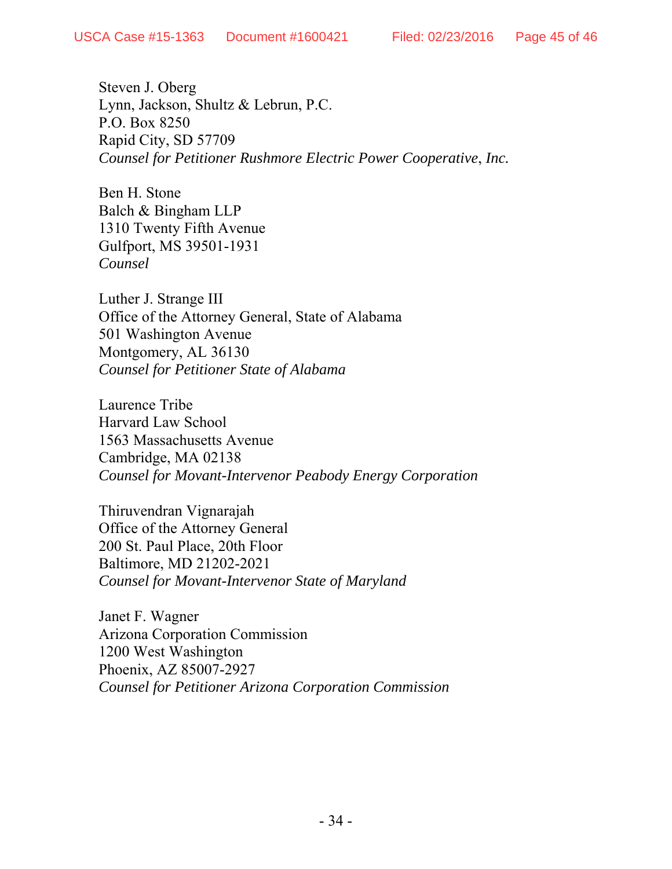Steven J. Oberg Lynn, Jackson, Shultz & Lebrun, P.C. P.O. Box 8250 Rapid City, SD 57709 *Counsel for Petitioner Rushmore Electric Power Cooperative*, *Inc.*

Ben H. Stone Balch & Bingham LLP 1310 Twenty Fifth Avenue Gulfport, MS 39501-1931 *Counsel*

Luther J. Strange III Office of the Attorney General, State of Alabama 501 Washington Avenue Montgomery, AL 36130 *Counsel for Petitioner State of Alabama*

Laurence Tribe Harvard Law School 1563 Massachusetts Avenue Cambridge, MA 02138 *Counsel for Movant-Intervenor Peabody Energy Corporation*

Thiruvendran Vignarajah Office of the Attorney General 200 St. Paul Place, 20th Floor Baltimore, MD 21202-2021 *Counsel for Movant-Intervenor State of Maryland* 

Janet F. Wagner Arizona Corporation Commission 1200 West Washington Phoenix, AZ 85007-2927 *Counsel for Petitioner Arizona Corporation Commission*